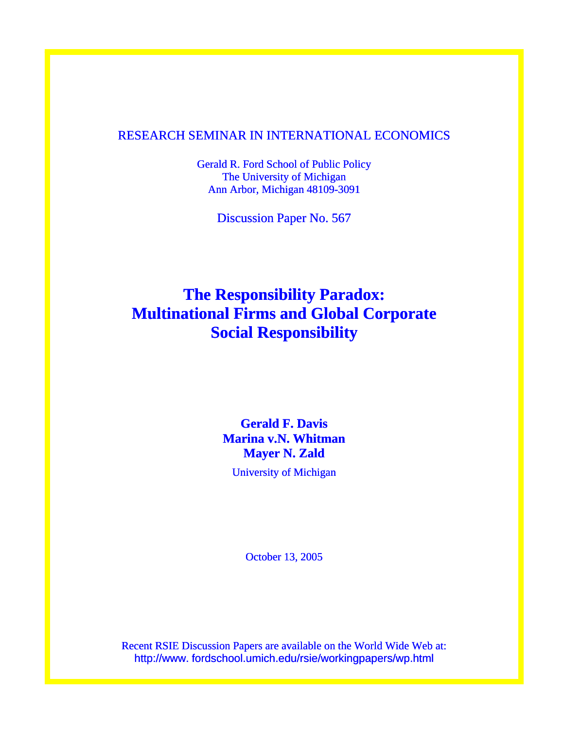### RESEARCH SEMINAR IN INTERNATIONAL ECONOMICS

Gerald R. Ford School of Public Policy The University of Michigan Ann Arbor, Michigan 48109-3091

Discussion Paper No. 567

# **The Responsibility Paradox: Multinational Firms and Global Corporate Social Responsibility**

### **Gerald F. Davis Marina v.N. Whitman Mayer N. Zald**

University of Michigan

October 13, 2005

Recent RSIE Discussion Papers are available on the World Wide Web at: http://www. fordschool.umich.edu/rsie/workingpapers/wp.html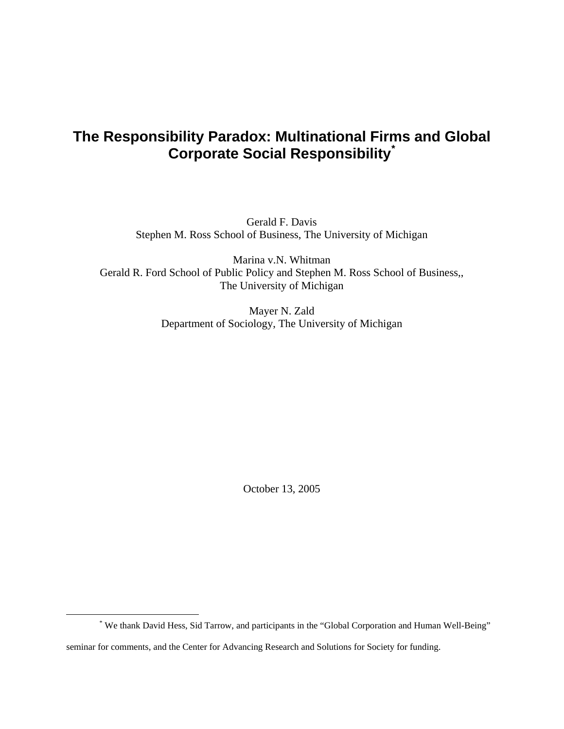## **The Responsibility Paradox: Multinational Fir[m](#page-1-0)s and Global Corporate Social Responsibility[\\*](#page-1-0)**

Gerald F. Davis Stephen M. Ross School of Business, The University of Michigan

Marina v.N. Whitman Gerald R. Ford School of Public Policy and Stephen M. Ross School of Business,, The University of Michigan

> Mayer N. Zald Department of Sociology, The University of Michigan

> > October 13, 2005

<span id="page-1-0"></span> <sup>\*</sup> We thank David Hess, Sid Tarrow, and participants in the "Global Corporation and Human Well-Being" seminar for comments, and the Center for Advancing Research and Solutions for Society for funding.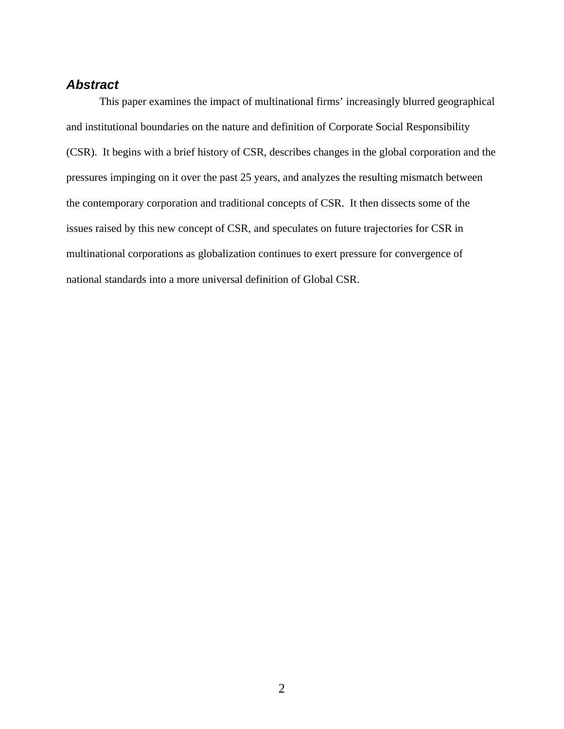### *Abstract*

This paper examines the impact of multinational firms' increasingly blurred geographical and institutional boundaries on the nature and definition of Corporate Social Responsibility (CSR). It begins with a brief history of CSR, describes changes in the global corporation and the pressures impinging on it over the past 25 years, and analyzes the resulting mismatch between the contemporary corporation and traditional concepts of CSR. It then dissects some of the issues raised by this new concept of CSR, and speculates on future trajectories for CSR in multinational corporations as globalization continues to exert pressure for convergence of national standards into a more universal definition of Global CSR.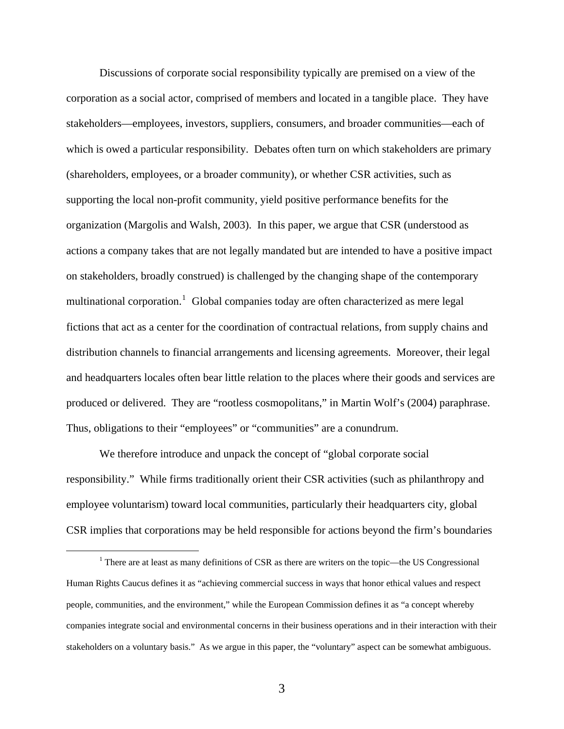Discussions of corporate social responsibility typically are premised on a view of the corporation as a social actor, comprised of members and located in a tangible place. They have stakeholders—employees, investors, suppliers, consumers, and broader communities—each of which is owed a particular responsibility. Debates often turn on which stakeholders are primary (shareholders, employees, or a broader community), or whether CSR activities, such as supporting the local non-profit community, yield positive performance benefits for the organization (Margolis and Walsh, 2003). In this paper, we argue that CSR (understood as actions a company takes that are not legally mandated but are intended to have a positive impact on stakeholders, broadly construed) is challenged by the changing shape of the contemporary multinational corporation.<sup>[1](#page-3-0)</sup> Global companies today are often characterized as mere legal fictions that act as a center for the coordination of contractual relations, from supply chains and distribution channels to financial arrangements and licensing agreements. Moreover, their legal and headquarters locales often bear little relation to the places where their goods and services are produced or delivered. They are "rootless cosmopolitans," in Martin Wolf's (2004) paraphrase. Thus, obligations to their "employees" or "communities" are a conundrum.

We therefore introduce and unpack the concept of "global corporate social responsibility." While firms traditionally orient their CSR activities (such as philanthropy and employee voluntarism) toward local communities, particularly their headquarters city, global CSR implies that corporations may be held responsible for actions beyond the firm's boundaries

<span id="page-3-0"></span> $\frac{1}{1}$  $1$  There are at least as many definitions of CSR as there are writers on the topic—the US Congressional Human Rights Caucus defines it as "achieving commercial success in ways that honor ethical values and respect people, communities, and the environment," while the European Commission defines it as "a concept whereby companies integrate social and environmental concerns in their business operations and in their interaction with their stakeholders on a voluntary basis." As we argue in this paper, the "voluntary" aspect can be somewhat ambiguous.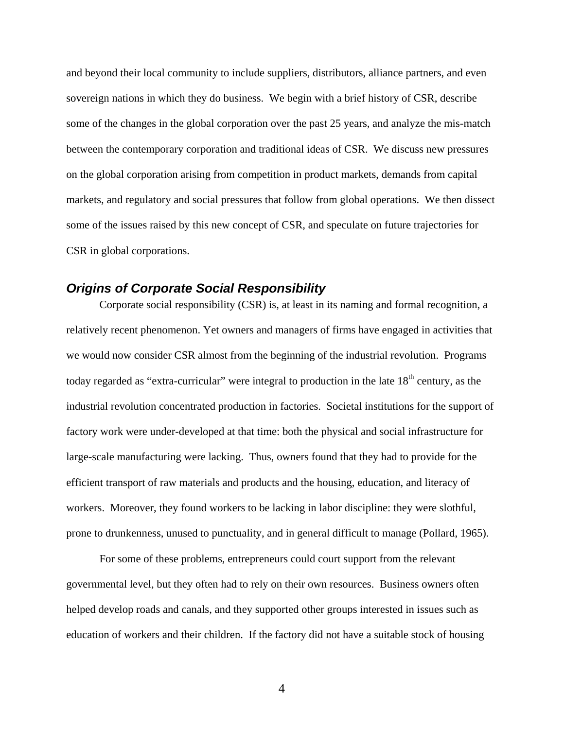and beyond their local community to include suppliers, distributors, alliance partners, and even sovereign nations in which they do business. We begin with a brief history of CSR, describe some of the changes in the global corporation over the past 25 years, and analyze the mis-match between the contemporary corporation and traditional ideas of CSR. We discuss new pressures on the global corporation arising from competition in product markets, demands from capital markets, and regulatory and social pressures that follow from global operations. We then dissect some of the issues raised by this new concept of CSR, and speculate on future trajectories for CSR in global corporations.

### *Origins of Corporate Social Responsibility*

Corporate social responsibility (CSR) is, at least in its naming and formal recognition, a relatively recent phenomenon. Yet owners and managers of firms have engaged in activities that we would now consider CSR almost from the beginning of the industrial revolution. Programs today regarded as "extra-curricular" were integral to production in the late  $18<sup>th</sup>$  century, as the industrial revolution concentrated production in factories. Societal institutions for the support of factory work were under-developed at that time: both the physical and social infrastructure for large-scale manufacturing were lacking. Thus, owners found that they had to provide for the efficient transport of raw materials and products and the housing, education, and literacy of workers. Moreover, they found workers to be lacking in labor discipline: they were slothful, prone to drunkenness, unused to punctuality, and in general difficult to manage (Pollard, 1965).

For some of these problems, entrepreneurs could court support from the relevant governmental level, but they often had to rely on their own resources. Business owners often helped develop roads and canals, and they supported other groups interested in issues such as education of workers and their children. If the factory did not have a suitable stock of housing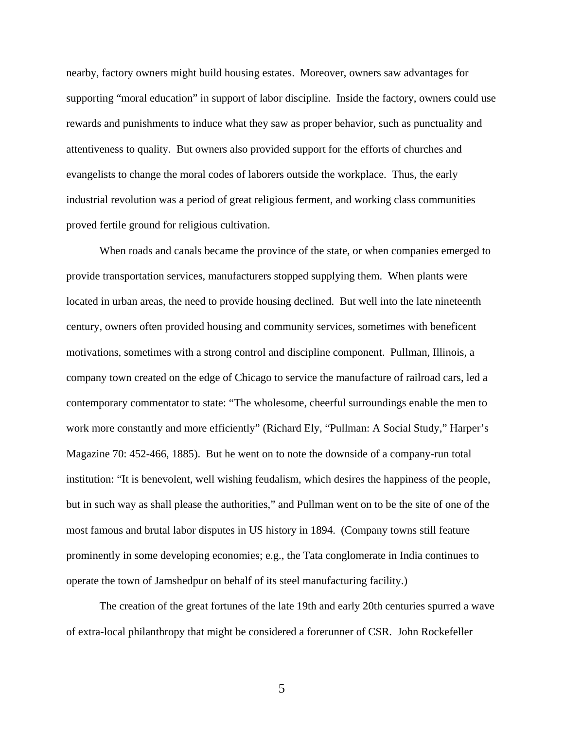nearby, factory owners might build housing estates. Moreover, owners saw advantages for supporting "moral education" in support of labor discipline. Inside the factory, owners could use rewards and punishments to induce what they saw as proper behavior, such as punctuality and attentiveness to quality. But owners also provided support for the efforts of churches and evangelists to change the moral codes of laborers outside the workplace. Thus, the early industrial revolution was a period of great religious ferment, and working class communities proved fertile ground for religious cultivation.

When roads and canals became the province of the state, or when companies emerged to provide transportation services, manufacturers stopped supplying them. When plants were located in urban areas, the need to provide housing declined. But well into the late nineteenth century, owners often provided housing and community services, sometimes with beneficent motivations, sometimes with a strong control and discipline component. Pullman, Illinois, a company town created on the edge of Chicago to service the manufacture of railroad cars, led a contemporary commentator to state: "The wholesome, cheerful surroundings enable the men to work more constantly and more efficiently" (Richard Ely, "Pullman: A Social Study," Harper's Magazine 70: 452-466, 1885). But he went on to note the downside of a company-run total institution: "It is benevolent, well wishing feudalism, which desires the happiness of the people, but in such way as shall please the authorities," and Pullman went on to be the site of one of the most famous and brutal labor disputes in US history in 1894. (Company towns still feature prominently in some developing economies; e.g., the Tata conglomerate in India continues to operate the town of Jamshedpur on behalf of its steel manufacturing facility.)

The creation of the great fortunes of the late 19th and early 20th centuries spurred a wave of extra-local philanthropy that might be considered a forerunner of CSR. John Rockefeller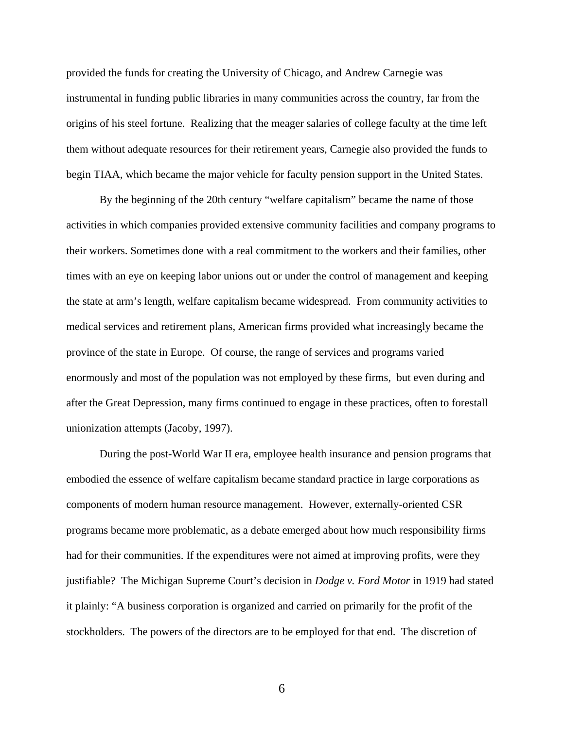provided the funds for creating the University of Chicago, and Andrew Carnegie was instrumental in funding public libraries in many communities across the country, far from the origins of his steel fortune. Realizing that the meager salaries of college faculty at the time left them without adequate resources for their retirement years, Carnegie also provided the funds to begin TIAA, which became the major vehicle for faculty pension support in the United States.

By the beginning of the 20th century "welfare capitalism" became the name of those activities in which companies provided extensive community facilities and company programs to their workers. Sometimes done with a real commitment to the workers and their families, other times with an eye on keeping labor unions out or under the control of management and keeping the state at arm's length, welfare capitalism became widespread. From community activities to medical services and retirement plans, American firms provided what increasingly became the province of the state in Europe. Of course, the range of services and programs varied enormously and most of the population was not employed by these firms, but even during and after the Great Depression, many firms continued to engage in these practices, often to forestall unionization attempts (Jacoby, 1997).

During the post-World War II era, employee health insurance and pension programs that embodied the essence of welfare capitalism became standard practice in large corporations as components of modern human resource management. However, externally-oriented CSR programs became more problematic, as a debate emerged about how much responsibility firms had for their communities. If the expenditures were not aimed at improving profits, were they justifiable? The Michigan Supreme Court's decision in *Dodge v. Ford Motor* in 1919 had stated it plainly: "A business corporation is organized and carried on primarily for the profit of the stockholders. The powers of the directors are to be employed for that end. The discretion of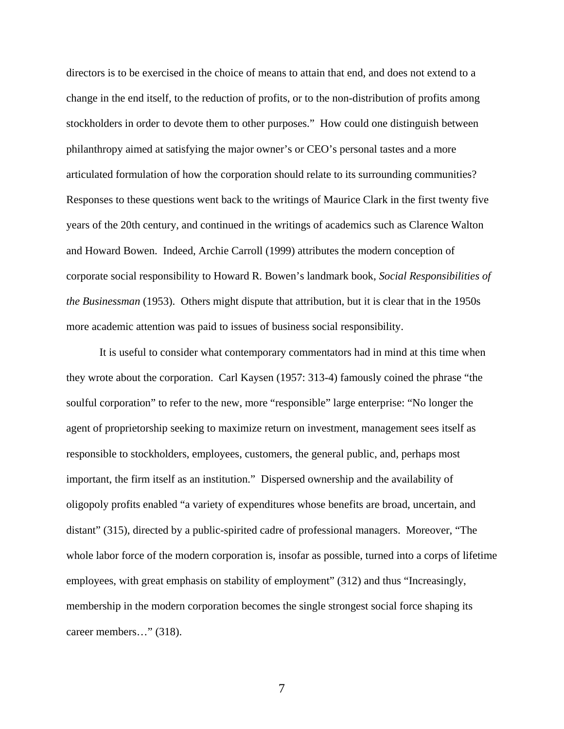directors is to be exercised in the choice of means to attain that end, and does not extend to a change in the end itself, to the reduction of profits, or to the non-distribution of profits among stockholders in order to devote them to other purposes." How could one distinguish between philanthropy aimed at satisfying the major owner's or CEO's personal tastes and a more articulated formulation of how the corporation should relate to its surrounding communities? Responses to these questions went back to the writings of Maurice Clark in the first twenty five years of the 20th century, and continued in the writings of academics such as Clarence Walton and Howard Bowen. Indeed, Archie Carroll (1999) attributes the modern conception of corporate social responsibility to Howard R. Bowen's landmark book, *Social Responsibilities of the Businessman* (1953). Others might dispute that attribution, but it is clear that in the 1950s more academic attention was paid to issues of business social responsibility.

It is useful to consider what contemporary commentators had in mind at this time when they wrote about the corporation. Carl Kaysen (1957: 313-4) famously coined the phrase "the soulful corporation" to refer to the new, more "responsible" large enterprise: "No longer the agent of proprietorship seeking to maximize return on investment, management sees itself as responsible to stockholders, employees, customers, the general public, and, perhaps most important, the firm itself as an institution." Dispersed ownership and the availability of oligopoly profits enabled "a variety of expenditures whose benefits are broad, uncertain, and distant" (315), directed by a public-spirited cadre of professional managers. Moreover, "The whole labor force of the modern corporation is, insofar as possible, turned into a corps of lifetime employees, with great emphasis on stability of employment" (312) and thus "Increasingly, membership in the modern corporation becomes the single strongest social force shaping its career members…" (318).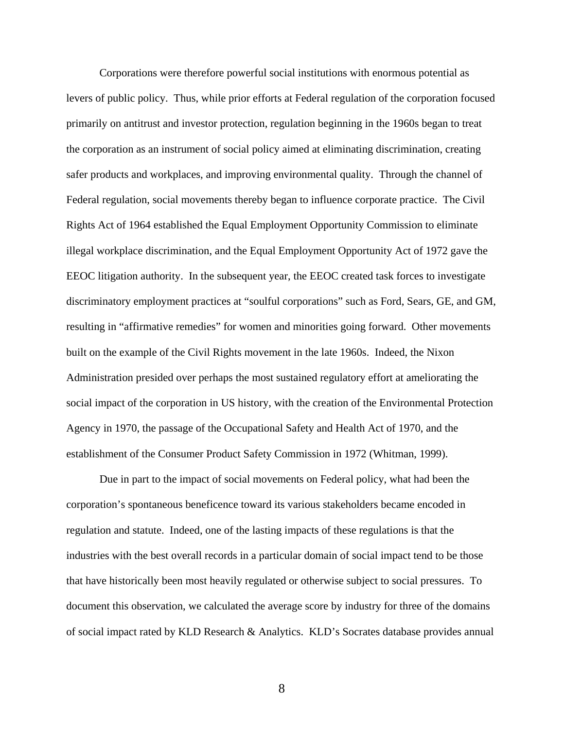Corporations were therefore powerful social institutions with enormous potential as levers of public policy. Thus, while prior efforts at Federal regulation of the corporation focused primarily on antitrust and investor protection, regulation beginning in the 1960s began to treat the corporation as an instrument of social policy aimed at eliminating discrimination, creating safer products and workplaces, and improving environmental quality. Through the channel of Federal regulation, social movements thereby began to influence corporate practice. The Civil Rights Act of 1964 established the Equal Employment Opportunity Commission to eliminate illegal workplace discrimination, and the Equal Employment Opportunity Act of 1972 gave the EEOC litigation authority. In the subsequent year, the EEOC created task forces to investigate discriminatory employment practices at "soulful corporations" such as Ford, Sears, GE, and GM, resulting in "affirmative remedies" for women and minorities going forward. Other movements built on the example of the Civil Rights movement in the late 1960s. Indeed, the Nixon Administration presided over perhaps the most sustained regulatory effort at ameliorating the social impact of the corporation in US history, with the creation of the Environmental Protection Agency in 1970, the passage of the Occupational Safety and Health Act of 1970, and the establishment of the Consumer Product Safety Commission in 1972 (Whitman, 1999).

Due in part to the impact of social movements on Federal policy, what had been the corporation's spontaneous beneficence toward its various stakeholders became encoded in regulation and statute. Indeed, one of the lasting impacts of these regulations is that the industries with the best overall records in a particular domain of social impact tend to be those that have historically been most heavily regulated or otherwise subject to social pressures. To document this observation, we calculated the average score by industry for three of the domains of social impact rated by KLD Research & Analytics. KLD's Socrates database provides annual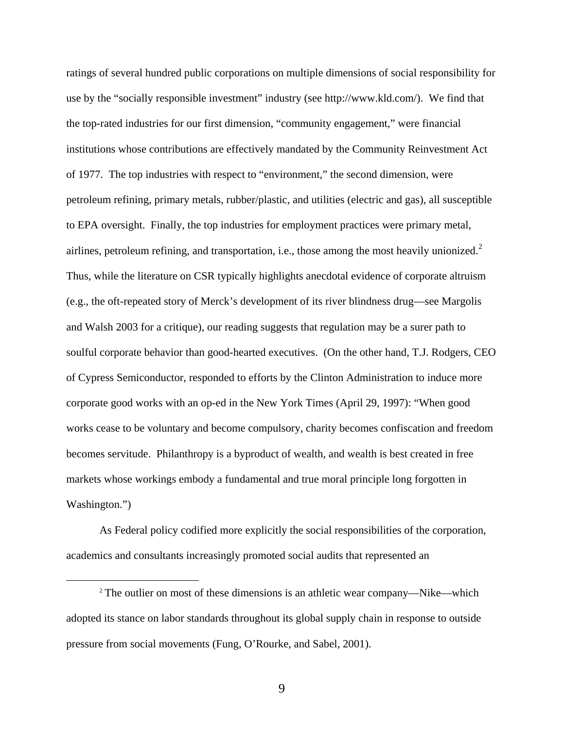ratings of several hundred public corporations on multiple dimensions of social responsibility for use by the "socially responsible investment" industry (see http://www.kld.com/). We find that the top-rated industries for our first dimension, "community engagement," were financial institutions whose contributions are effectively mandated by the Community Reinvestment Act of 1977. The top industries with respect to "environment," the second dimension, were petroleum refining, primary metals, rubber/plastic, and utilities (electric and gas), all susceptible to EPA oversight. Finally, the top industries for employment practices were primary metal, airlines, petroleum refining, and transportation, i.e., those among the most heavily unionized.<sup>[2](#page-9-0)</sup> Thus, while the literature on CSR typically highlights anecdotal evidence of corporate altruism (e.g., the oft-repeated story of Merck's development of its river blindness drug—see Margolis and Walsh 2003 for a critique), our reading suggests that regulation may be a surer path to soulful corporate behavior than good-hearted executives. (On the other hand, T.J. Rodgers, CEO of Cypress Semiconductor, responded to efforts by the Clinton Administration to induce more corporate good works with an op-ed in the New York Times (April 29, 1997): "When good works cease to be voluntary and become compulsory, charity becomes confiscation and freedom becomes servitude. Philanthropy is a byproduct of wealth, and wealth is best created in free markets whose workings embody a fundamental and true moral principle long forgotten in Washington.")

As Federal policy codified more explicitly the social responsibilities of the corporation, academics and consultants increasingly promoted social audits that represented an

<span id="page-9-0"></span> $2$ <sup>2</sup> The outlier on most of these dimensions is an athletic wear company—Nike—which adopted its stance on labor standards throughout its global supply chain in response to outside pressure from social movements (Fung, O'Rourke, and Sabel, 2001).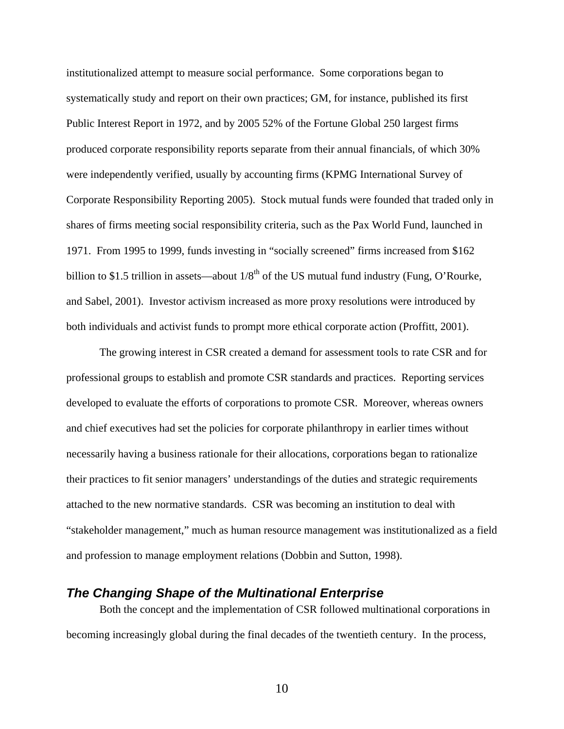institutionalized attempt to measure social performance. Some corporations began to systematically study and report on their own practices; GM, for instance, published its first Public Interest Report in 1972, and by 2005 52% of the Fortune Global 250 largest firms produced corporate responsibility reports separate from their annual financials, of which 30% were independently verified, usually by accounting firms (KPMG International Survey of Corporate Responsibility Reporting 2005). Stock mutual funds were founded that traded only in shares of firms meeting social responsibility criteria, such as the Pax World Fund, launched in 1971. From 1995 to 1999, funds investing in "socially screened" firms increased from \$162 billion to \$1.5 trillion in assets—about  $1/8<sup>th</sup>$  of the US mutual fund industry (Fung, O'Rourke, and Sabel, 2001). Investor activism increased as more proxy resolutions were introduced by both individuals and activist funds to prompt more ethical corporate action (Proffitt, 2001).

The growing interest in CSR created a demand for assessment tools to rate CSR and for professional groups to establish and promote CSR standards and practices. Reporting services developed to evaluate the efforts of corporations to promote CSR. Moreover, whereas owners and chief executives had set the policies for corporate philanthropy in earlier times without necessarily having a business rationale for their allocations, corporations began to rationalize their practices to fit senior managers' understandings of the duties and strategic requirements attached to the new normative standards. CSR was becoming an institution to deal with "stakeholder management," much as human resource management was institutionalized as a field and profession to manage employment relations (Dobbin and Sutton, 1998).

### *The Changing Shape of the Multinational Enterprise*

Both the concept and the implementation of CSR followed multinational corporations in becoming increasingly global during the final decades of the twentieth century. In the process,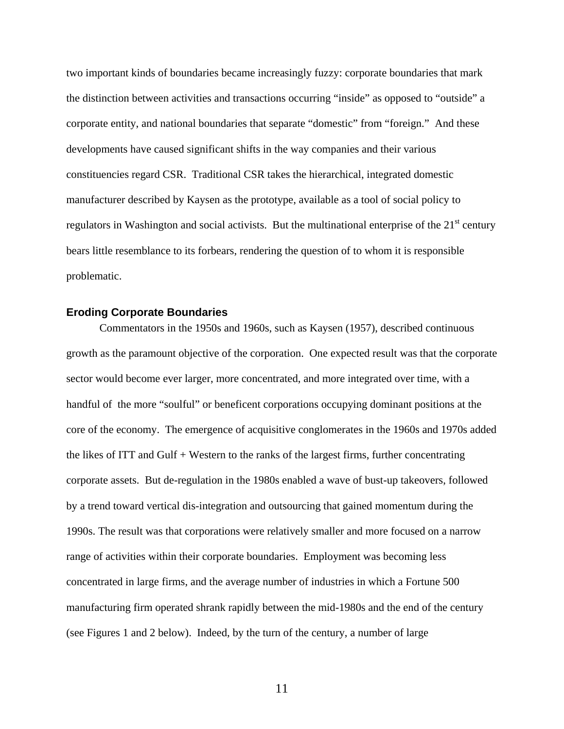two important kinds of boundaries became increasingly fuzzy: corporate boundaries that mark the distinction between activities and transactions occurring "inside" as opposed to "outside" a corporate entity, and national boundaries that separate "domestic" from "foreign." And these developments have caused significant shifts in the way companies and their various constituencies regard CSR. Traditional CSR takes the hierarchical, integrated domestic manufacturer described by Kaysen as the prototype, available as a tool of social policy to regulators in Washington and social activists. But the multinational enterprise of the  $21<sup>st</sup>$  century bears little resemblance to its forbears, rendering the question of to whom it is responsible problematic.

#### **Eroding Corporate Boundaries**

Commentators in the 1950s and 1960s, such as Kaysen (1957), described continuous growth as the paramount objective of the corporation. One expected result was that the corporate sector would become ever larger, more concentrated, and more integrated over time, with a handful of the more "soulful" or beneficent corporations occupying dominant positions at the core of the economy. The emergence of acquisitive conglomerates in the 1960s and 1970s added the likes of ITT and Gulf + Western to the ranks of the largest firms, further concentrating corporate assets. But de-regulation in the 1980s enabled a wave of bust-up takeovers, followed by a trend toward vertical dis-integration and outsourcing that gained momentum during the 1990s. The result was that corporations were relatively smaller and more focused on a narrow range of activities within their corporate boundaries. Employment was becoming less concentrated in large firms, and the average number of industries in which a Fortune 500 manufacturing firm operated shrank rapidly between the mid-1980s and the end of the century (see Figures 1 and 2 below). Indeed, by the turn of the century, a number of large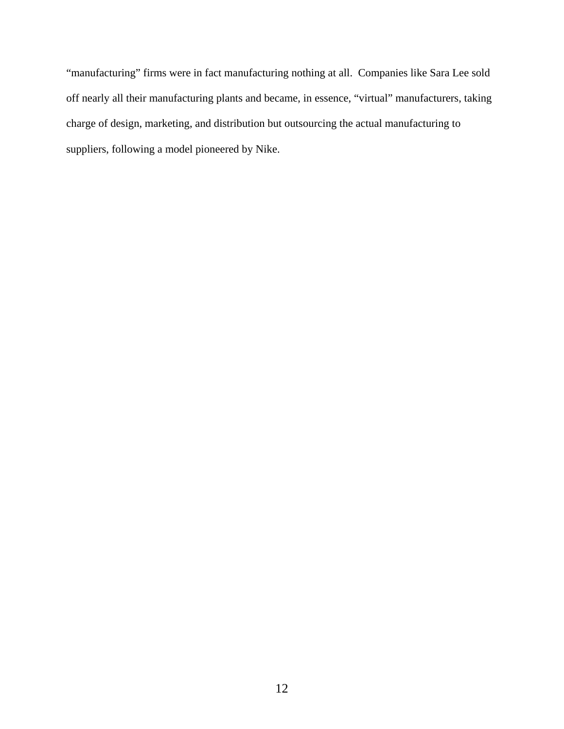"manufacturing" firms were in fact manufacturing nothing at all. Companies like Sara Lee sold off nearly all their manufacturing plants and became, in essence, "virtual" manufacturers, taking charge of design, marketing, and distribution but outsourcing the actual manufacturing to suppliers, following a model pioneered by Nike.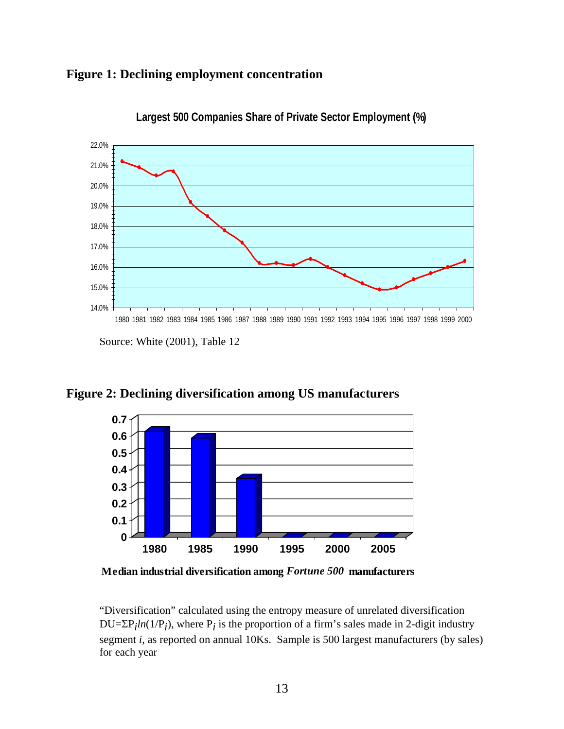



**Largest 500 Companies Share of Private Sector Employment (%)**

**Figure 2: Declining diversification among US manufacturers** 



**Median industrial diversification among** *Fortune 500* **manufacturers**

"Diversification" calculated using the entropy measure of unrelated diversification  $D U = \sum P_i ln(1/P_i)$ , where  $P_i$  is the proportion of a firm's sales made in 2-digit industry segment *i*, as reported on annual 10Ks. Sample is 500 largest manufacturers (by sales) for each year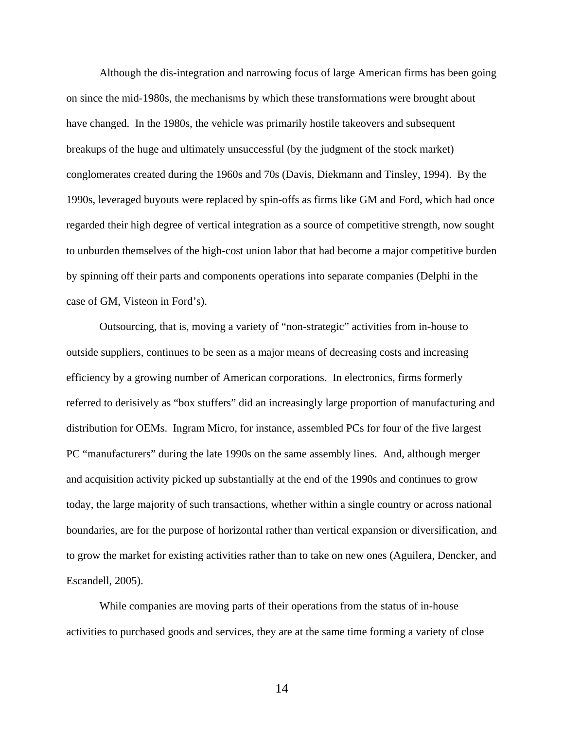Although the dis-integration and narrowing focus of large American firms has been going on since the mid-1980s, the mechanisms by which these transformations were brought about have changed. In the 1980s, the vehicle was primarily hostile takeovers and subsequent breakups of the huge and ultimately unsuccessful (by the judgment of the stock market) conglomerates created during the 1960s and 70s (Davis, Diekmann and Tinsley, 1994). By the 1990s, leveraged buyouts were replaced by spin-offs as firms like GM and Ford, which had once regarded their high degree of vertical integration as a source of competitive strength, now sought to unburden themselves of the high-cost union labor that had become a major competitive burden by spinning off their parts and components operations into separate companies (Delphi in the case of GM, Visteon in Ford's).

Outsourcing, that is, moving a variety of "non-strategic" activities from in-house to outside suppliers, continues to be seen as a major means of decreasing costs and increasing efficiency by a growing number of American corporations. In electronics, firms formerly referred to derisively as "box stuffers" did an increasingly large proportion of manufacturing and distribution for OEMs. Ingram Micro, for instance, assembled PCs for four of the five largest PC "manufacturers" during the late 1990s on the same assembly lines. And, although merger and acquisition activity picked up substantially at the end of the 1990s and continues to grow today, the large majority of such transactions, whether within a single country or across national boundaries, are for the purpose of horizontal rather than vertical expansion or diversification, and to grow the market for existing activities rather than to take on new ones (Aguilera, Dencker, and Escandell, 2005).

While companies are moving parts of their operations from the status of in-house activities to purchased goods and services, they are at the same time forming a variety of close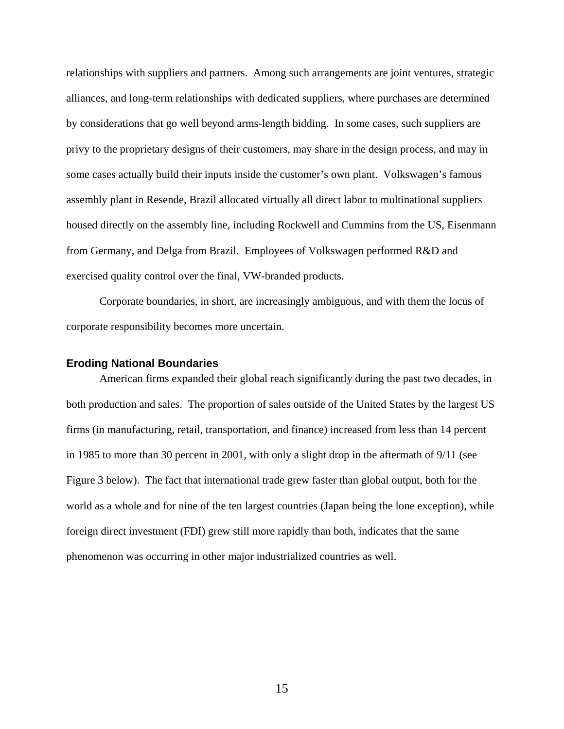relationships with suppliers and partners. Among such arrangements are joint ventures, strategic alliances, and long-term relationships with dedicated suppliers, where purchases are determined by considerations that go well beyond arms-length bidding. In some cases, such suppliers are privy to the proprietary designs of their customers, may share in the design process, and may in some cases actually build their inputs inside the customer's own plant. Volkswagen's famous assembly plant in Resende, Brazil allocated virtually all direct labor to multinational suppliers housed directly on the assembly line, including Rockwell and Cummins from the US, Eisenmann from Germany, and Delga from Brazil. Employees of Volkswagen performed R&D and exercised quality control over the final, VW-branded products.

Corporate boundaries, in short, are increasingly ambiguous, and with them the locus of corporate responsibility becomes more uncertain.

#### **Eroding National Boundaries**

American firms expanded their global reach significantly during the past two decades, in both production and sales. The proportion of sales outside of the United States by the largest US firms (in manufacturing, retail, transportation, and finance) increased from less than 14 percent in 1985 to more than 30 percent in 2001, with only a slight drop in the aftermath of 9/11 (see Figure 3 below). The fact that international trade grew faster than global output, both for the world as a whole and for nine of the ten largest countries (Japan being the lone exception), while foreign direct investment (FDI) grew still more rapidly than both, indicates that the same phenomenon was occurring in other major industrialized countries as well.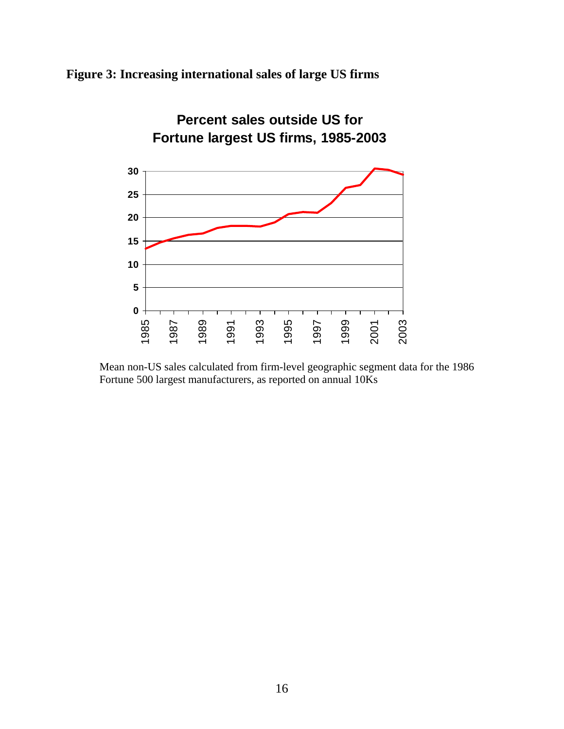



Mean non-US sales calculated from firm-level geographic segment data for the 1986 Fortune 500 largest manufacturers, as reported on annual 10Ks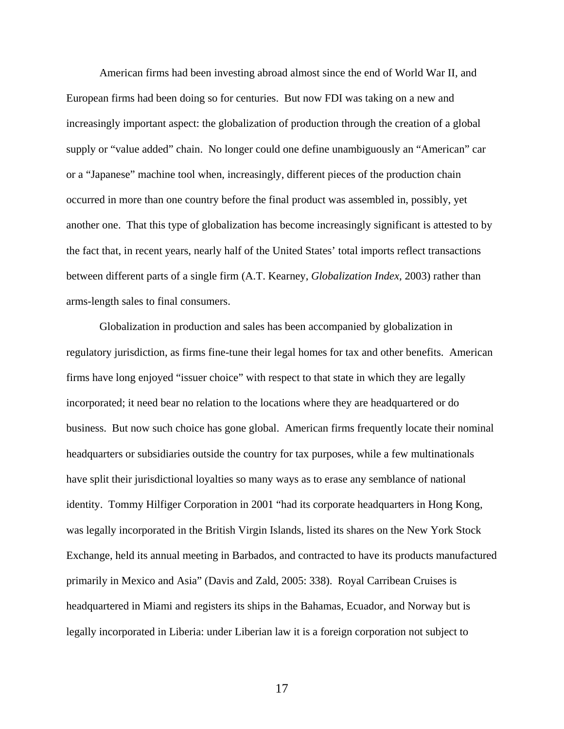American firms had been investing abroad almost since the end of World War II, and European firms had been doing so for centuries. But now FDI was taking on a new and increasingly important aspect: the globalization of production through the creation of a global supply or "value added" chain. No longer could one define unambiguously an "American" car or a "Japanese" machine tool when, increasingly, different pieces of the production chain occurred in more than one country before the final product was assembled in, possibly, yet another one. That this type of globalization has become increasingly significant is attested to by the fact that, in recent years, nearly half of the United States' total imports reflect transactions between different parts of a single firm (A.T. Kearney, *Globalization Index,* 2003) rather than arms-length sales to final consumers.

Globalization in production and sales has been accompanied by globalization in regulatory jurisdiction, as firms fine-tune their legal homes for tax and other benefits. American firms have long enjoyed "issuer choice" with respect to that state in which they are legally incorporated; it need bear no relation to the locations where they are headquartered or do business. But now such choice has gone global. American firms frequently locate their nominal headquarters or subsidiaries outside the country for tax purposes, while a few multinationals have split their jurisdictional loyalties so many ways as to erase any semblance of national identity. Tommy Hilfiger Corporation in 2001 "had its corporate headquarters in Hong Kong, was legally incorporated in the British Virgin Islands, listed its shares on the New York Stock Exchange, held its annual meeting in Barbados, and contracted to have its products manufactured primarily in Mexico and Asia" (Davis and Zald, 2005: 338). Royal Carribean Cruises is headquartered in Miami and registers its ships in the Bahamas, Ecuador, and Norway but is legally incorporated in Liberia: under Liberian law it is a foreign corporation not subject to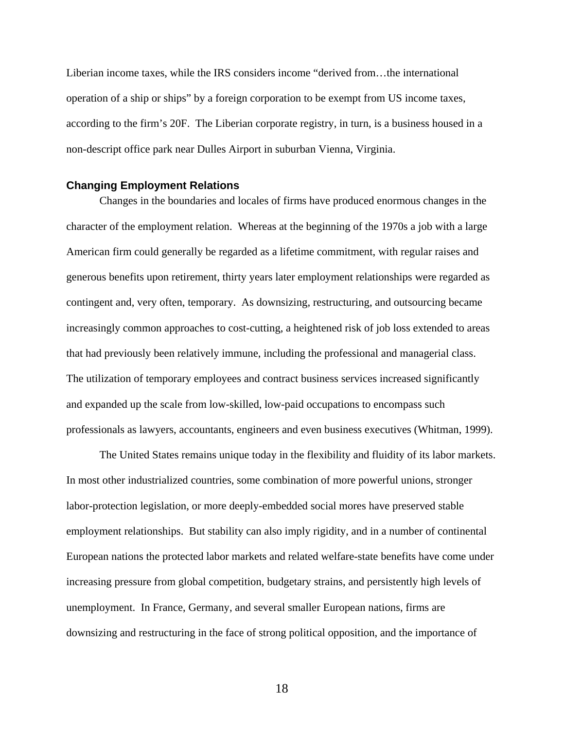Liberian income taxes, while the IRS considers income "derived from…the international operation of a ship or ships" by a foreign corporation to be exempt from US income taxes, according to the firm's 20F. The Liberian corporate registry, in turn, is a business housed in a non-descript office park near Dulles Airport in suburban Vienna, Virginia.

#### **Changing Employment Relations**

Changes in the boundaries and locales of firms have produced enormous changes in the character of the employment relation. Whereas at the beginning of the 1970s a job with a large American firm could generally be regarded as a lifetime commitment, with regular raises and generous benefits upon retirement, thirty years later employment relationships were regarded as contingent and, very often, temporary. As downsizing, restructuring, and outsourcing became increasingly common approaches to cost-cutting, a heightened risk of job loss extended to areas that had previously been relatively immune, including the professional and managerial class. The utilization of temporary employees and contract business services increased significantly and expanded up the scale from low-skilled, low-paid occupations to encompass such professionals as lawyers, accountants, engineers and even business executives (Whitman, 1999).

The United States remains unique today in the flexibility and fluidity of its labor markets. In most other industrialized countries, some combination of more powerful unions, stronger labor-protection legislation, or more deeply-embedded social mores have preserved stable employment relationships. But stability can also imply rigidity, and in a number of continental European nations the protected labor markets and related welfare-state benefits have come under increasing pressure from global competition, budgetary strains, and persistently high levels of unemployment. In France, Germany, and several smaller European nations, firms are downsizing and restructuring in the face of strong political opposition, and the importance of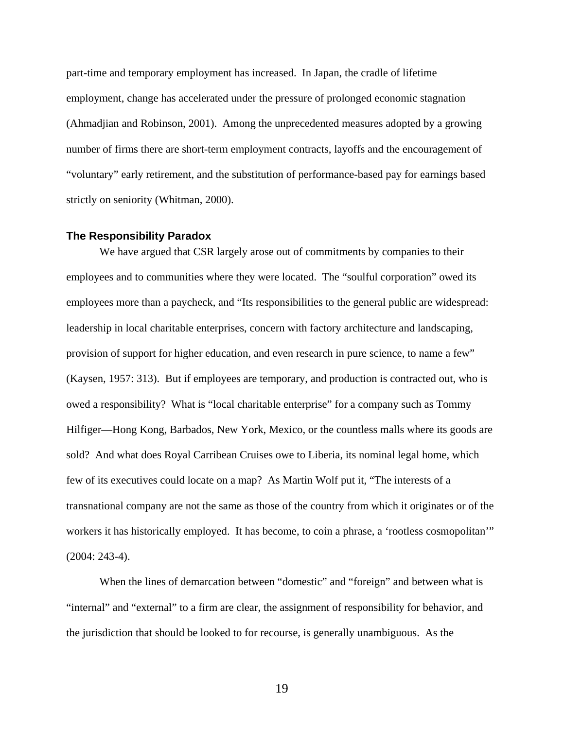part-time and temporary employment has increased. In Japan, the cradle of lifetime employment, change has accelerated under the pressure of prolonged economic stagnation (Ahmadjian and Robinson, 2001). Among the unprecedented measures adopted by a growing number of firms there are short-term employment contracts, layoffs and the encouragement of "voluntary" early retirement, and the substitution of performance-based pay for earnings based strictly on seniority (Whitman, 2000).

#### **The Responsibility Paradox**

We have argued that CSR largely arose out of commitments by companies to their employees and to communities where they were located. The "soulful corporation" owed its employees more than a paycheck, and "Its responsibilities to the general public are widespread: leadership in local charitable enterprises, concern with factory architecture and landscaping, provision of support for higher education, and even research in pure science, to name a few" (Kaysen, 1957: 313). But if employees are temporary, and production is contracted out, who is owed a responsibility? What is "local charitable enterprise" for a company such as Tommy Hilfiger—Hong Kong, Barbados, New York, Mexico, or the countless malls where its goods are sold? And what does Royal Carribean Cruises owe to Liberia, its nominal legal home, which few of its executives could locate on a map? As Martin Wolf put it, "The interests of a transnational company are not the same as those of the country from which it originates or of the workers it has historically employed. It has become, to coin a phrase, a 'rootless cosmopolitan'" (2004: 243-4).

When the lines of demarcation between "domestic" and "foreign" and between what is "internal" and "external" to a firm are clear, the assignment of responsibility for behavior, and the jurisdiction that should be looked to for recourse, is generally unambiguous. As the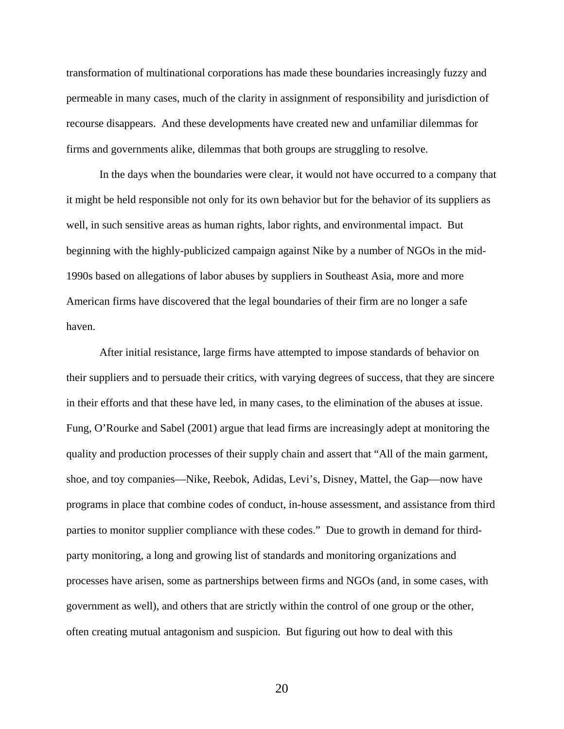transformation of multinational corporations has made these boundaries increasingly fuzzy and permeable in many cases, much of the clarity in assignment of responsibility and jurisdiction of recourse disappears. And these developments have created new and unfamiliar dilemmas for firms and governments alike, dilemmas that both groups are struggling to resolve.

In the days when the boundaries were clear, it would not have occurred to a company that it might be held responsible not only for its own behavior but for the behavior of its suppliers as well, in such sensitive areas as human rights, labor rights, and environmental impact. But beginning with the highly-publicized campaign against Nike by a number of NGOs in the mid-1990s based on allegations of labor abuses by suppliers in Southeast Asia, more and more American firms have discovered that the legal boundaries of their firm are no longer a safe haven.

After initial resistance, large firms have attempted to impose standards of behavior on their suppliers and to persuade their critics, with varying degrees of success, that they are sincere in their efforts and that these have led, in many cases, to the elimination of the abuses at issue. Fung, O'Rourke and Sabel (2001) argue that lead firms are increasingly adept at monitoring the quality and production processes of their supply chain and assert that "All of the main garment, shoe, and toy companies—Nike, Reebok, Adidas, Levi's, Disney, Mattel, the Gap—now have programs in place that combine codes of conduct, in-house assessment, and assistance from third parties to monitor supplier compliance with these codes." Due to growth in demand for thirdparty monitoring, a long and growing list of standards and monitoring organizations and processes have arisen, some as partnerships between firms and NGOs (and, in some cases, with government as well), and others that are strictly within the control of one group or the other, often creating mutual antagonism and suspicion. But figuring out how to deal with this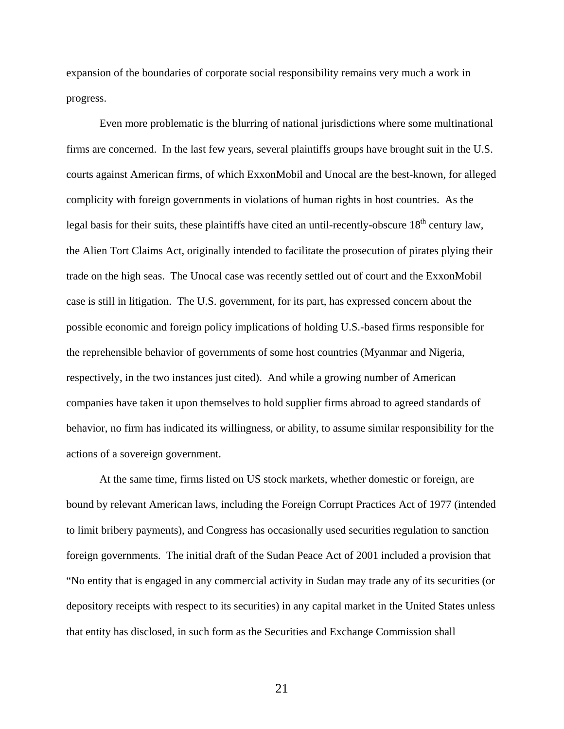expansion of the boundaries of corporate social responsibility remains very much a work in progress.

Even more problematic is the blurring of national jurisdictions where some multinational firms are concerned. In the last few years, several plaintiffs groups have brought suit in the U.S. courts against American firms, of which ExxonMobil and Unocal are the best-known, for alleged complicity with foreign governments in violations of human rights in host countries. As the legal basis for their suits, these plaintiffs have cited an until-recently-obscure 18<sup>th</sup> century law, the Alien Tort Claims Act, originally intended to facilitate the prosecution of pirates plying their trade on the high seas. The Unocal case was recently settled out of court and the ExxonMobil case is still in litigation. The U.S. government, for its part, has expressed concern about the possible economic and foreign policy implications of holding U.S.-based firms responsible for the reprehensible behavior of governments of some host countries (Myanmar and Nigeria, respectively, in the two instances just cited). And while a growing number of American companies have taken it upon themselves to hold supplier firms abroad to agreed standards of behavior, no firm has indicated its willingness, or ability, to assume similar responsibility for the actions of a sovereign government.

At the same time, firms listed on US stock markets, whether domestic or foreign, are bound by relevant American laws, including the Foreign Corrupt Practices Act of 1977 (intended to limit bribery payments), and Congress has occasionally used securities regulation to sanction foreign governments. The initial draft of the Sudan Peace Act of 2001 included a provision that "No entity that is engaged in any commercial activity in Sudan may trade any of its securities (or depository receipts with respect to its securities) in any capital market in the United States unless that entity has disclosed, in such form as the Securities and Exchange Commission shall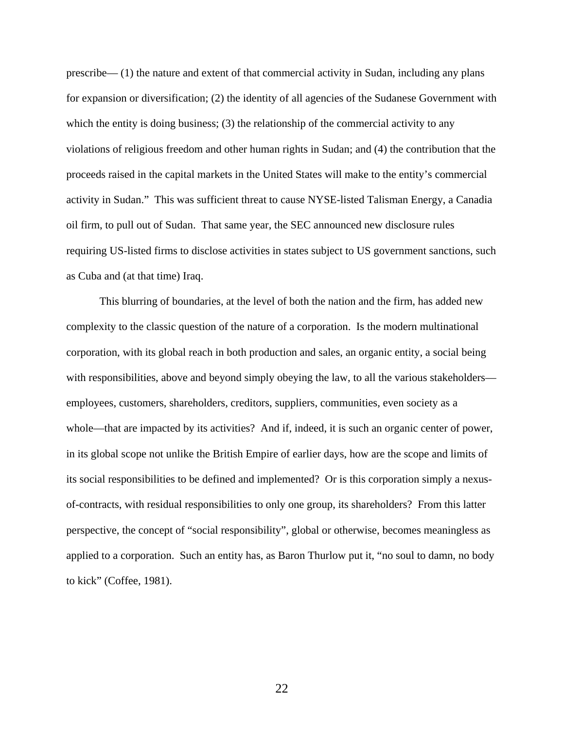prescribe— (1) the nature and extent of that commercial activity in Sudan, including any plans for expansion or diversification; (2) the identity of all agencies of the Sudanese Government with which the entity is doing business; (3) the relationship of the commercial activity to any violations of religious freedom and other human rights in Sudan; and (4) the contribution that the proceeds raised in the capital markets in the United States will make to the entity's commercial activity in Sudan." This was sufficient threat to cause NYSE-listed Talisman Energy, a Canadia oil firm, to pull out of Sudan. That same year, the SEC announced new disclosure rules requiring US-listed firms to disclose activities in states subject to US government sanctions, such as Cuba and (at that time) Iraq.

This blurring of boundaries, at the level of both the nation and the firm, has added new complexity to the classic question of the nature of a corporation. Is the modern multinational corporation, with its global reach in both production and sales, an organic entity, a social being with responsibilities, above and beyond simply obeying the law, to all the various stakeholders employees, customers, shareholders, creditors, suppliers, communities, even society as a whole—that are impacted by its activities? And if, indeed, it is such an organic center of power, in its global scope not unlike the British Empire of earlier days, how are the scope and limits of its social responsibilities to be defined and implemented? Or is this corporation simply a nexusof-contracts, with residual responsibilities to only one group, its shareholders? From this latter perspective, the concept of "social responsibility", global or otherwise, becomes meaningless as applied to a corporation. Such an entity has, as Baron Thurlow put it, "no soul to damn, no body to kick" (Coffee, 1981).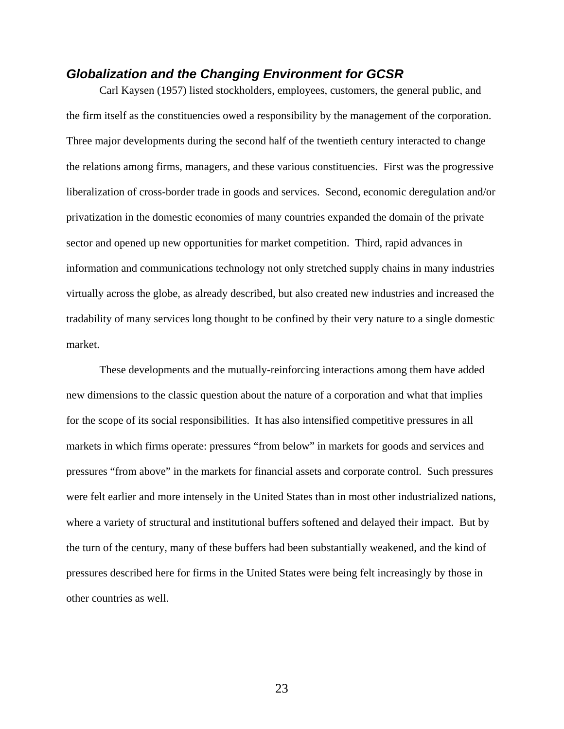### *Globalization and the Changing Environment for GCSR*

Carl Kaysen (1957) listed stockholders, employees, customers, the general public, and the firm itself as the constituencies owed a responsibility by the management of the corporation. Three major developments during the second half of the twentieth century interacted to change the relations among firms, managers, and these various constituencies. First was the progressive liberalization of cross-border trade in goods and services. Second, economic deregulation and/or privatization in the domestic economies of many countries expanded the domain of the private sector and opened up new opportunities for market competition. Third, rapid advances in information and communications technology not only stretched supply chains in many industries virtually across the globe, as already described, but also created new industries and increased the tradability of many services long thought to be confined by their very nature to a single domestic market.

These developments and the mutually-reinforcing interactions among them have added new dimensions to the classic question about the nature of a corporation and what that implies for the scope of its social responsibilities. It has also intensified competitive pressures in all markets in which firms operate: pressures "from below" in markets for goods and services and pressures "from above" in the markets for financial assets and corporate control. Such pressures were felt earlier and more intensely in the United States than in most other industrialized nations, where a variety of structural and institutional buffers softened and delayed their impact. But by the turn of the century, many of these buffers had been substantially weakened, and the kind of pressures described here for firms in the United States were being felt increasingly by those in other countries as well.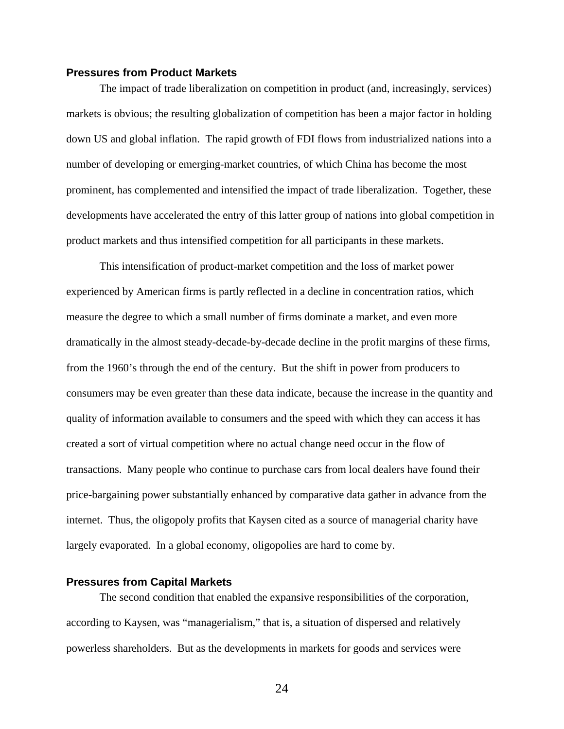#### **Pressures from Product Markets**

The impact of trade liberalization on competition in product (and, increasingly, services) markets is obvious; the resulting globalization of competition has been a major factor in holding down US and global inflation. The rapid growth of FDI flows from industrialized nations into a number of developing or emerging-market countries, of which China has become the most prominent, has complemented and intensified the impact of trade liberalization. Together, these developments have accelerated the entry of this latter group of nations into global competition in product markets and thus intensified competition for all participants in these markets.

This intensification of product-market competition and the loss of market power experienced by American firms is partly reflected in a decline in concentration ratios, which measure the degree to which a small number of firms dominate a market, and even more dramatically in the almost steady-decade-by-decade decline in the profit margins of these firms, from the 1960's through the end of the century. But the shift in power from producers to consumers may be even greater than these data indicate, because the increase in the quantity and quality of information available to consumers and the speed with which they can access it has created a sort of virtual competition where no actual change need occur in the flow of transactions. Many people who continue to purchase cars from local dealers have found their price-bargaining power substantially enhanced by comparative data gather in advance from the internet. Thus, the oligopoly profits that Kaysen cited as a source of managerial charity have largely evaporated. In a global economy, oligopolies are hard to come by.

#### **Pressures from Capital Markets**

The second condition that enabled the expansive responsibilities of the corporation, according to Kaysen, was "managerialism," that is, a situation of dispersed and relatively powerless shareholders. But as the developments in markets for goods and services were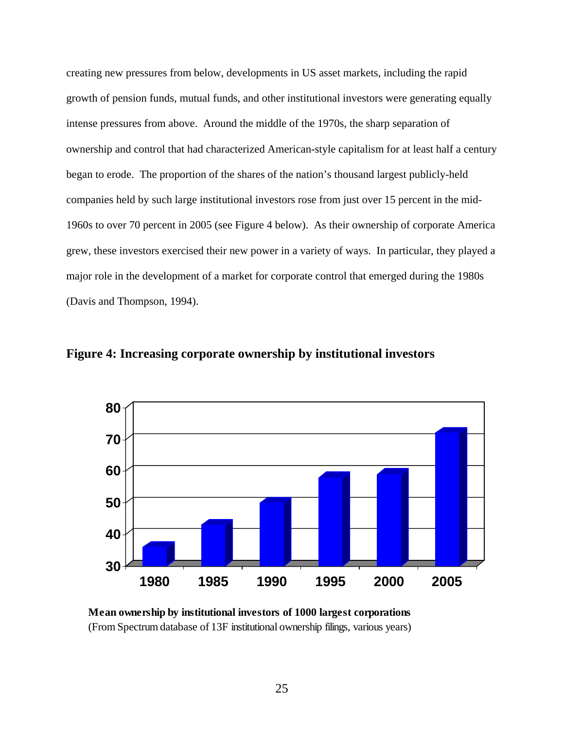creating new pressures from below, developments in US asset markets, including the rapid growth of pension funds, mutual funds, and other institutional investors were generating equally intense pressures from above. Around the middle of the 1970s, the sharp separation of ownership and control that had characterized American-style capitalism for at least half a century began to erode. The proportion of the shares of the nation's thousand largest publicly-held companies held by such large institutional investors rose from just over 15 percent in the mid-1960s to over 70 percent in 2005 (see Figure 4 below). As their ownership of corporate America grew, these investors exercised their new power in a variety of ways. In particular, they played a major role in the development of a market for corporate control that emerged during the 1980s (Davis and Thompson, 1994).





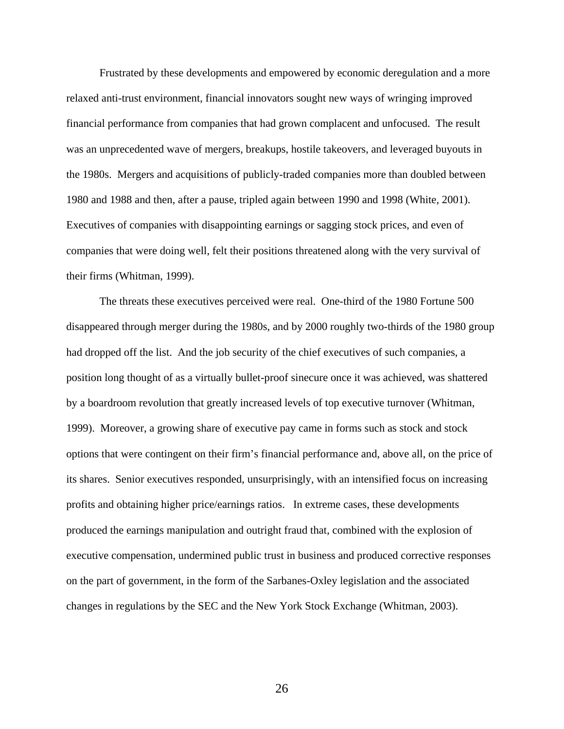Frustrated by these developments and empowered by economic deregulation and a more relaxed anti-trust environment, financial innovators sought new ways of wringing improved financial performance from companies that had grown complacent and unfocused. The result was an unprecedented wave of mergers, breakups, hostile takeovers, and leveraged buyouts in the 1980s. Mergers and acquisitions of publicly-traded companies more than doubled between 1980 and 1988 and then, after a pause, tripled again between 1990 and 1998 (White, 2001). Executives of companies with disappointing earnings or sagging stock prices, and even of companies that were doing well, felt their positions threatened along with the very survival of their firms (Whitman, 1999).

The threats these executives perceived were real. One-third of the 1980 Fortune 500 disappeared through merger during the 1980s, and by 2000 roughly two-thirds of the 1980 group had dropped off the list. And the job security of the chief executives of such companies, a position long thought of as a virtually bullet-proof sinecure once it was achieved, was shattered by a boardroom revolution that greatly increased levels of top executive turnover (Whitman, 1999). Moreover, a growing share of executive pay came in forms such as stock and stock options that were contingent on their firm's financial performance and, above all, on the price of its shares. Senior executives responded, unsurprisingly, with an intensified focus on increasing profits and obtaining higher price/earnings ratios. In extreme cases, these developments produced the earnings manipulation and outright fraud that, combined with the explosion of executive compensation, undermined public trust in business and produced corrective responses on the part of government, in the form of the Sarbanes-Oxley legislation and the associated changes in regulations by the SEC and the New York Stock Exchange (Whitman, 2003).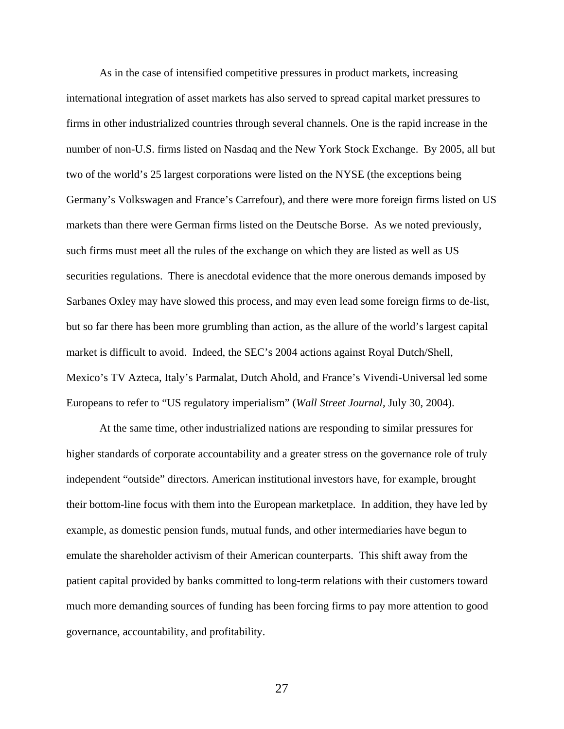As in the case of intensified competitive pressures in product markets, increasing international integration of asset markets has also served to spread capital market pressures to firms in other industrialized countries through several channels. One is the rapid increase in the number of non-U.S. firms listed on Nasdaq and the New York Stock Exchange. By 2005, all but two of the world's 25 largest corporations were listed on the NYSE (the exceptions being Germany's Volkswagen and France's Carrefour), and there were more foreign firms listed on US markets than there were German firms listed on the Deutsche Borse. As we noted previously, such firms must meet all the rules of the exchange on which they are listed as well as US securities regulations. There is anecdotal evidence that the more onerous demands imposed by Sarbanes Oxley may have slowed this process, and may even lead some foreign firms to de-list, but so far there has been more grumbling than action, as the allure of the world's largest capital market is difficult to avoid. Indeed, the SEC's 2004 actions against Royal Dutch/Shell, Mexico's TV Azteca, Italy's Parmalat, Dutch Ahold, and France's Vivendi-Universal led some Europeans to refer to "US regulatory imperialism" (*Wall Street Journal*, July 30, 2004).

At the same time, other industrialized nations are responding to similar pressures for higher standards of corporate accountability and a greater stress on the governance role of truly independent "outside" directors. American institutional investors have, for example, brought their bottom-line focus with them into the European marketplace. In addition, they have led by example, as domestic pension funds, mutual funds, and other intermediaries have begun to emulate the shareholder activism of their American counterparts. This shift away from the patient capital provided by banks committed to long-term relations with their customers toward much more demanding sources of funding has been forcing firms to pay more attention to good governance, accountability, and profitability.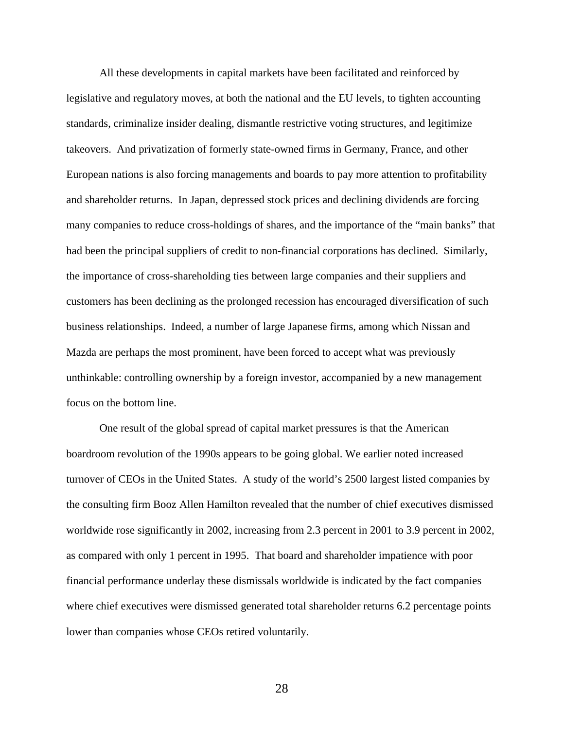All these developments in capital markets have been facilitated and reinforced by legislative and regulatory moves, at both the national and the EU levels, to tighten accounting standards, criminalize insider dealing, dismantle restrictive voting structures, and legitimize takeovers. And privatization of formerly state-owned firms in Germany, France, and other European nations is also forcing managements and boards to pay more attention to profitability and shareholder returns. In Japan, depressed stock prices and declining dividends are forcing many companies to reduce cross-holdings of shares, and the importance of the "main banks" that had been the principal suppliers of credit to non-financial corporations has declined. Similarly, the importance of cross-shareholding ties between large companies and their suppliers and customers has been declining as the prolonged recession has encouraged diversification of such business relationships. Indeed, a number of large Japanese firms, among which Nissan and Mazda are perhaps the most prominent, have been forced to accept what was previously unthinkable: controlling ownership by a foreign investor, accompanied by a new management focus on the bottom line.

One result of the global spread of capital market pressures is that the American boardroom revolution of the 1990s appears to be going global. We earlier noted increased turnover of CEOs in the United States. A study of the world's 2500 largest listed companies by the consulting firm Booz Allen Hamilton revealed that the number of chief executives dismissed worldwide rose significantly in 2002, increasing from 2.3 percent in 2001 to 3.9 percent in 2002, as compared with only 1 percent in 1995. That board and shareholder impatience with poor financial performance underlay these dismissals worldwide is indicated by the fact companies where chief executives were dismissed generated total shareholder returns 6.2 percentage points lower than companies whose CEOs retired voluntarily.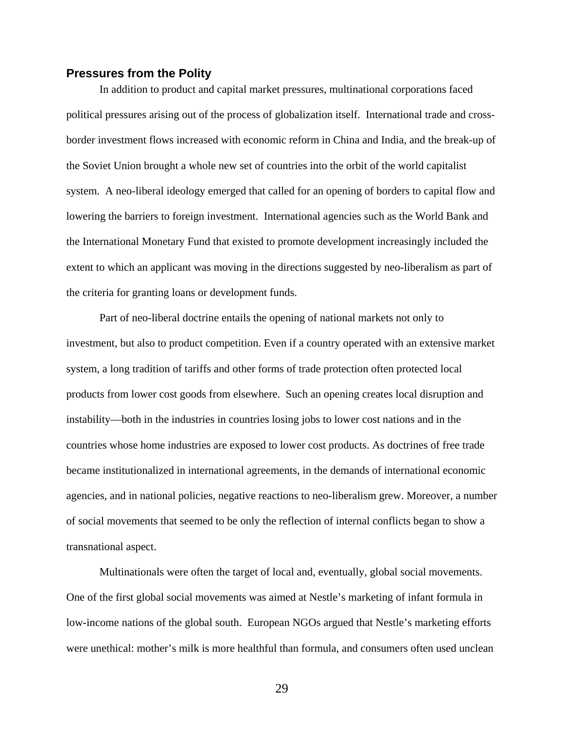#### **Pressures from the Polity**

In addition to product and capital market pressures, multinational corporations faced political pressures arising out of the process of globalization itself. International trade and crossborder investment flows increased with economic reform in China and India, and the break-up of the Soviet Union brought a whole new set of countries into the orbit of the world capitalist system. A neo-liberal ideology emerged that called for an opening of borders to capital flow and lowering the barriers to foreign investment. International agencies such as the World Bank and the International Monetary Fund that existed to promote development increasingly included the extent to which an applicant was moving in the directions suggested by neo-liberalism as part of the criteria for granting loans or development funds.

Part of neo-liberal doctrine entails the opening of national markets not only to investment, but also to product competition. Even if a country operated with an extensive market system, a long tradition of tariffs and other forms of trade protection often protected local products from lower cost goods from elsewhere. Such an opening creates local disruption and instability—both in the industries in countries losing jobs to lower cost nations and in the countries whose home industries are exposed to lower cost products. As doctrines of free trade became institutionalized in international agreements, in the demands of international economic agencies, and in national policies, negative reactions to neo-liberalism grew. Moreover, a number of social movements that seemed to be only the reflection of internal conflicts began to show a transnational aspect.

Multinationals were often the target of local and, eventually, global social movements. One of the first global social movements was aimed at Nestle's marketing of infant formula in low-income nations of the global south. European NGOs argued that Nestle's marketing efforts were unethical: mother's milk is more healthful than formula, and consumers often used unclean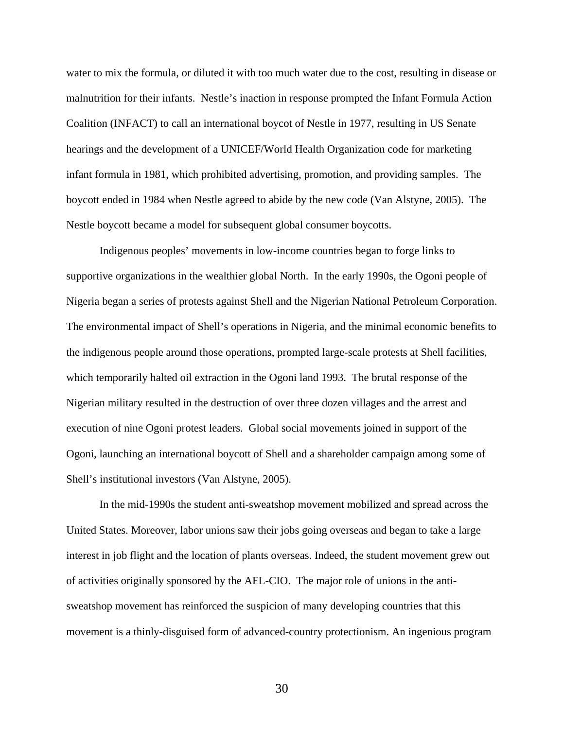water to mix the formula, or diluted it with too much water due to the cost, resulting in disease or malnutrition for their infants. Nestle's inaction in response prompted the Infant Formula Action Coalition (INFACT) to call an international boycot of Nestle in 1977, resulting in US Senate hearings and the development of a UNICEF/World Health Organization code for marketing infant formula in 1981, which prohibited advertising, promotion, and providing samples. The boycott ended in 1984 when Nestle agreed to abide by the new code (Van Alstyne, 2005). The Nestle boycott became a model for subsequent global consumer boycotts.

Indigenous peoples' movements in low-income countries began to forge links to supportive organizations in the wealthier global North. In the early 1990s, the Ogoni people of Nigeria began a series of protests against Shell and the Nigerian National Petroleum Corporation. The environmental impact of Shell's operations in Nigeria, and the minimal economic benefits to the indigenous people around those operations, prompted large-scale protests at Shell facilities, which temporarily halted oil extraction in the Ogoni land 1993. The brutal response of the Nigerian military resulted in the destruction of over three dozen villages and the arrest and execution of nine Ogoni protest leaders. Global social movements joined in support of the Ogoni, launching an international boycott of Shell and a shareholder campaign among some of Shell's institutional investors (Van Alstyne, 2005).

In the mid-1990s the student anti-sweatshop movement mobilized and spread across the United States. Moreover, labor unions saw their jobs going overseas and began to take a large interest in job flight and the location of plants overseas. Indeed, the student movement grew out of activities originally sponsored by the AFL-CIO. The major role of unions in the antisweatshop movement has reinforced the suspicion of many developing countries that this movement is a thinly-disguised form of advanced-country protectionism. An ingenious program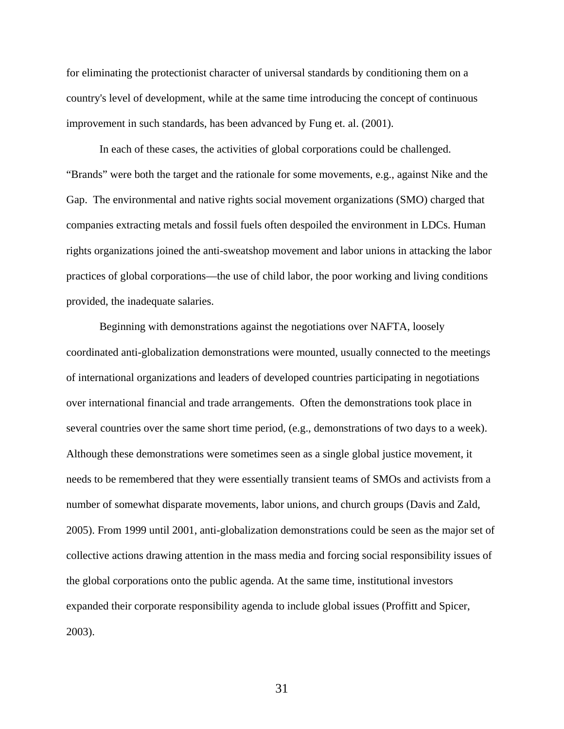for eliminating the protectionist character of universal standards by conditioning them on a country's level of development, while at the same time introducing the concept of continuous improvement in such standards, has been advanced by Fung et. al. (2001).

In each of these cases, the activities of global corporations could be challenged. "Brands" were both the target and the rationale for some movements, e.g., against Nike and the Gap. The environmental and native rights social movement organizations (SMO) charged that companies extracting metals and fossil fuels often despoiled the environment in LDCs. Human rights organizations joined the anti-sweatshop movement and labor unions in attacking the labor practices of global corporations—the use of child labor, the poor working and living conditions provided, the inadequate salaries.

Beginning with demonstrations against the negotiations over NAFTA, loosely coordinated anti-globalization demonstrations were mounted, usually connected to the meetings of international organizations and leaders of developed countries participating in negotiations over international financial and trade arrangements. Often the demonstrations took place in several countries over the same short time period, (e.g., demonstrations of two days to a week). Although these demonstrations were sometimes seen as a single global justice movement, it needs to be remembered that they were essentially transient teams of SMOs and activists from a number of somewhat disparate movements, labor unions, and church groups (Davis and Zald, 2005). From 1999 until 2001, anti-globalization demonstrations could be seen as the major set of collective actions drawing attention in the mass media and forcing social responsibility issues of the global corporations onto the public agenda. At the same time, institutional investors expanded their corporate responsibility agenda to include global issues (Proffitt and Spicer, 2003).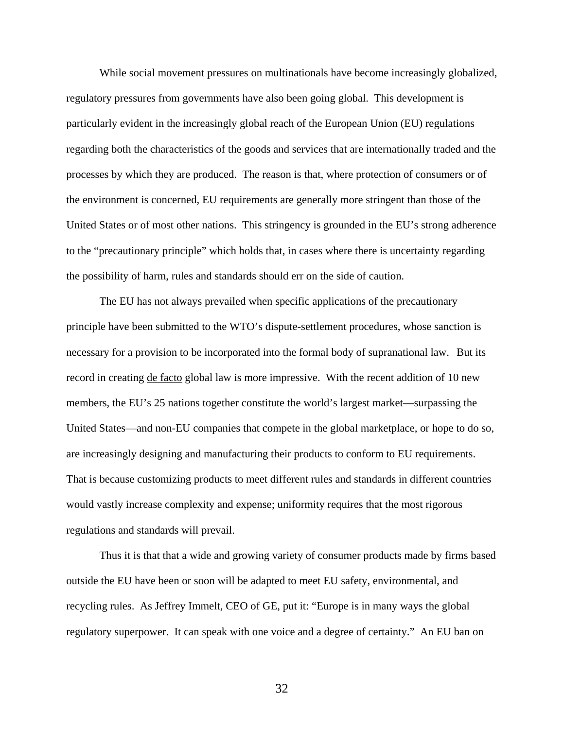While social movement pressures on multinationals have become increasingly globalized, regulatory pressures from governments have also been going global. This development is particularly evident in the increasingly global reach of the European Union (EU) regulations regarding both the characteristics of the goods and services that are internationally traded and the processes by which they are produced. The reason is that, where protection of consumers or of the environment is concerned, EU requirements are generally more stringent than those of the United States or of most other nations. This stringency is grounded in the EU's strong adherence to the "precautionary principle" which holds that, in cases where there is uncertainty regarding the possibility of harm, rules and standards should err on the side of caution.

The EU has not always prevailed when specific applications of the precautionary principle have been submitted to the WTO's dispute-settlement procedures, whose sanction is necessary for a provision to be incorporated into the formal body of supranational law. But its record in creating de facto global law is more impressive. With the recent addition of 10 new members, the EU's 25 nations together constitute the world's largest market—surpassing the United States—and non-EU companies that compete in the global marketplace, or hope to do so, are increasingly designing and manufacturing their products to conform to EU requirements. That is because customizing products to meet different rules and standards in different countries would vastly increase complexity and expense; uniformity requires that the most rigorous regulations and standards will prevail.

Thus it is that that a wide and growing variety of consumer products made by firms based outside the EU have been or soon will be adapted to meet EU safety, environmental, and recycling rules. As Jeffrey Immelt, CEO of GE, put it: "Europe is in many ways the global regulatory superpower. It can speak with one voice and a degree of certainty." An EU ban on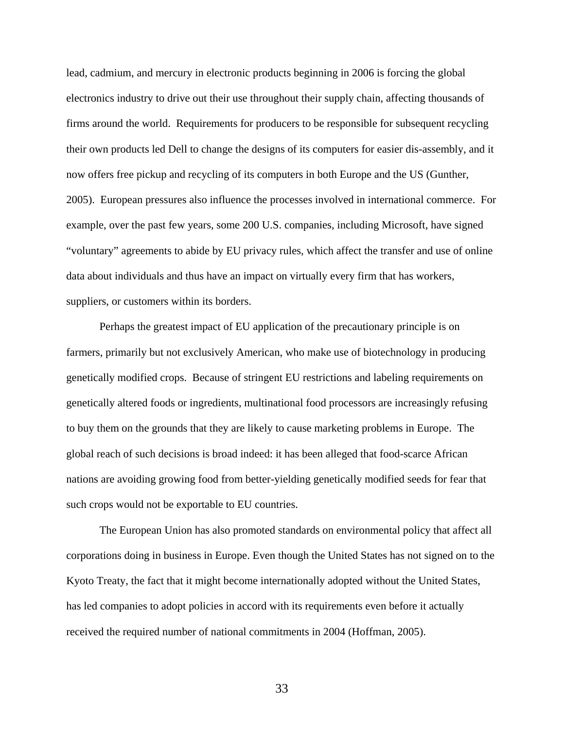lead, cadmium, and mercury in electronic products beginning in 2006 is forcing the global electronics industry to drive out their use throughout their supply chain, affecting thousands of firms around the world. Requirements for producers to be responsible for subsequent recycling their own products led Dell to change the designs of its computers for easier dis-assembly, and it now offers free pickup and recycling of its computers in both Europe and the US (Gunther, 2005). European pressures also influence the processes involved in international commerce. For example, over the past few years, some 200 U.S. companies, including Microsoft, have signed "voluntary" agreements to abide by EU privacy rules, which affect the transfer and use of online data about individuals and thus have an impact on virtually every firm that has workers, suppliers, or customers within its borders.

Perhaps the greatest impact of EU application of the precautionary principle is on farmers, primarily but not exclusively American, who make use of biotechnology in producing genetically modified crops. Because of stringent EU restrictions and labeling requirements on genetically altered foods or ingredients, multinational food processors are increasingly refusing to buy them on the grounds that they are likely to cause marketing problems in Europe. The global reach of such decisions is broad indeed: it has been alleged that food-scarce African nations are avoiding growing food from better-yielding genetically modified seeds for fear that such crops would not be exportable to EU countries.

The European Union has also promoted standards on environmental policy that affect all corporations doing in business in Europe. Even though the United States has not signed on to the Kyoto Treaty, the fact that it might become internationally adopted without the United States, has led companies to adopt policies in accord with its requirements even before it actually received the required number of national commitments in 2004 (Hoffman, 2005).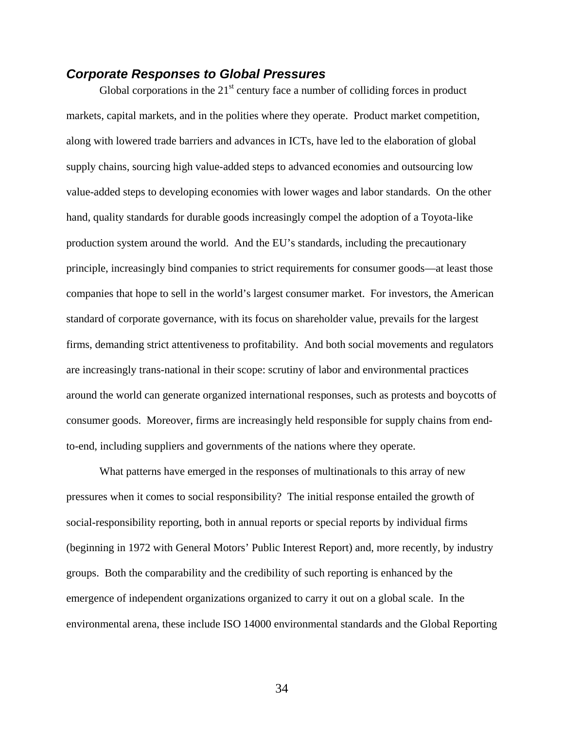### *Corporate Responses to Global Pressures*

Global corporations in the  $21<sup>st</sup>$  century face a number of colliding forces in product markets, capital markets, and in the polities where they operate. Product market competition, along with lowered trade barriers and advances in ICTs, have led to the elaboration of global supply chains, sourcing high value-added steps to advanced economies and outsourcing low value-added steps to developing economies with lower wages and labor standards. On the other hand, quality standards for durable goods increasingly compel the adoption of a Toyota-like production system around the world. And the EU's standards, including the precautionary principle, increasingly bind companies to strict requirements for consumer goods—at least those companies that hope to sell in the world's largest consumer market. For investors, the American standard of corporate governance, with its focus on shareholder value, prevails for the largest firms, demanding strict attentiveness to profitability. And both social movements and regulators are increasingly trans-national in their scope: scrutiny of labor and environmental practices around the world can generate organized international responses, such as protests and boycotts of consumer goods. Moreover, firms are increasingly held responsible for supply chains from endto-end, including suppliers and governments of the nations where they operate.

What patterns have emerged in the responses of multinationals to this array of new pressures when it comes to social responsibility? The initial response entailed the growth of social-responsibility reporting, both in annual reports or special reports by individual firms (beginning in 1972 with General Motors' Public Interest Report) and, more recently, by industry groups. Both the comparability and the credibility of such reporting is enhanced by the emergence of independent organizations organized to carry it out on a global scale. In the environmental arena, these include ISO 14000 environmental standards and the Global Reporting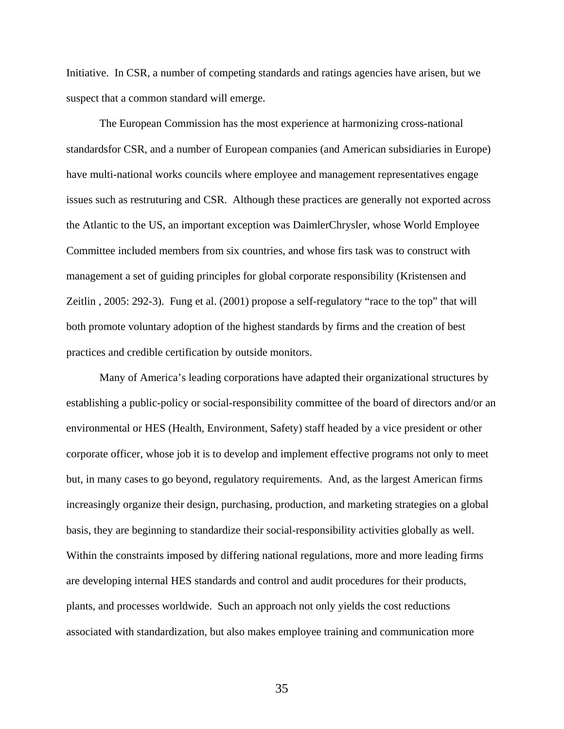Initiative. In CSR, a number of competing standards and ratings agencies have arisen, but we suspect that a common standard will emerge.

The European Commission has the most experience at harmonizing cross-national standardsfor CSR, and a number of European companies (and American subsidiaries in Europe) have multi-national works councils where employee and management representatives engage issues such as restruturing and CSR. Although these practices are generally not exported across the Atlantic to the US, an important exception was DaimlerChrysler, whose World Employee Committee included members from six countries, and whose firs task was to construct with management a set of guiding principles for global corporate responsibility (Kristensen and Zeitlin , 2005: 292-3). Fung et al. (2001) propose a self-regulatory "race to the top" that will both promote voluntary adoption of the highest standards by firms and the creation of best practices and credible certification by outside monitors.

Many of America's leading corporations have adapted their organizational structures by establishing a public-policy or social-responsibility committee of the board of directors and/or an environmental or HES (Health, Environment, Safety) staff headed by a vice president or other corporate officer, whose job it is to develop and implement effective programs not only to meet but, in many cases to go beyond, regulatory requirements. And, as the largest American firms increasingly organize their design, purchasing, production, and marketing strategies on a global basis, they are beginning to standardize their social-responsibility activities globally as well. Within the constraints imposed by differing national regulations, more and more leading firms are developing internal HES standards and control and audit procedures for their products, plants, and processes worldwide. Such an approach not only yields the cost reductions associated with standardization, but also makes employee training and communication more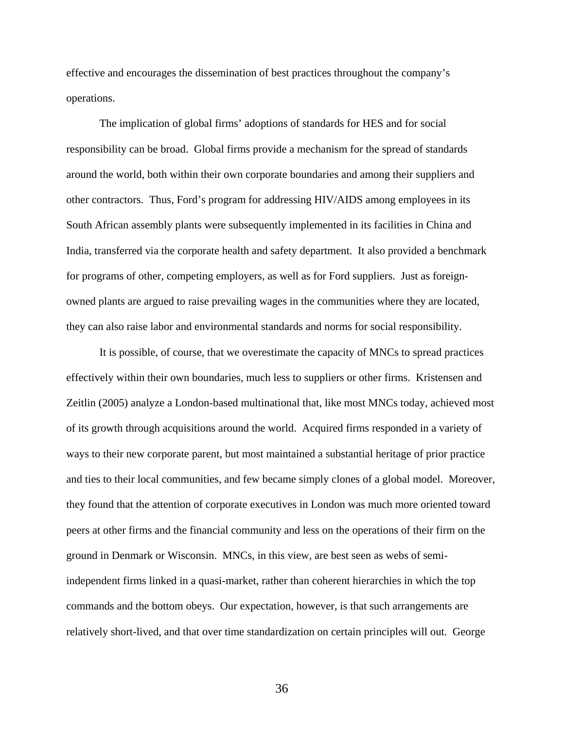effective and encourages the dissemination of best practices throughout the company's operations.

The implication of global firms' adoptions of standards for HES and for social responsibility can be broad. Global firms provide a mechanism for the spread of standards around the world, both within their own corporate boundaries and among their suppliers and other contractors. Thus, Ford's program for addressing HIV/AIDS among employees in its South African assembly plants were subsequently implemented in its facilities in China and India, transferred via the corporate health and safety department. It also provided a benchmark for programs of other, competing employers, as well as for Ford suppliers. Just as foreignowned plants are argued to raise prevailing wages in the communities where they are located, they can also raise labor and environmental standards and norms for social responsibility.

It is possible, of course, that we overestimate the capacity of MNCs to spread practices effectively within their own boundaries, much less to suppliers or other firms. Kristensen and Zeitlin (2005) analyze a London-based multinational that, like most MNCs today, achieved most of its growth through acquisitions around the world. Acquired firms responded in a variety of ways to their new corporate parent, but most maintained a substantial heritage of prior practice and ties to their local communities, and few became simply clones of a global model. Moreover, they found that the attention of corporate executives in London was much more oriented toward peers at other firms and the financial community and less on the operations of their firm on the ground in Denmark or Wisconsin. MNCs, in this view, are best seen as webs of semiindependent firms linked in a quasi-market, rather than coherent hierarchies in which the top commands and the bottom obeys. Our expectation, however, is that such arrangements are relatively short-lived, and that over time standardization on certain principles will out. George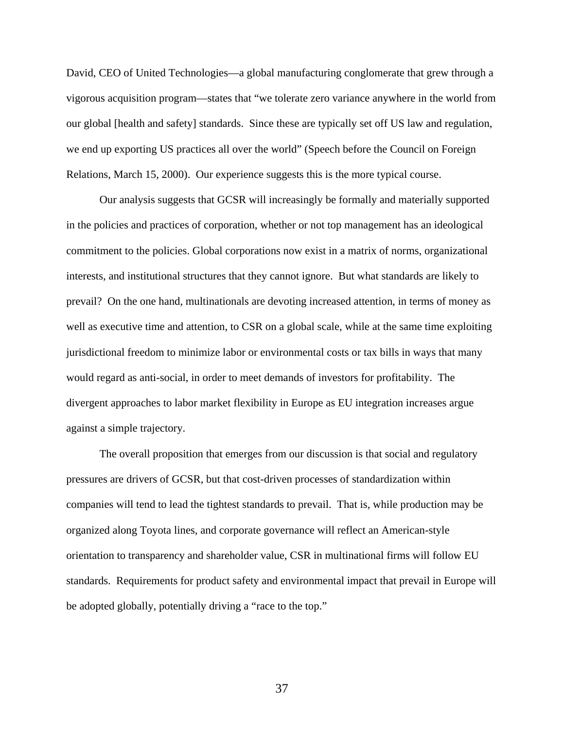David, CEO of United Technologies—a global manufacturing conglomerate that grew through a vigorous acquisition program—states that "we tolerate zero variance anywhere in the world from our global [health and safety] standards. Since these are typically set off US law and regulation, we end up exporting US practices all over the world" (Speech before the Council on Foreign Relations, March 15, 2000). Our experience suggests this is the more typical course.

Our analysis suggests that GCSR will increasingly be formally and materially supported in the policies and practices of corporation, whether or not top management has an ideological commitment to the policies. Global corporations now exist in a matrix of norms, organizational interests, and institutional structures that they cannot ignore. But what standards are likely to prevail? On the one hand, multinationals are devoting increased attention, in terms of money as well as executive time and attention, to CSR on a global scale, while at the same time exploiting jurisdictional freedom to minimize labor or environmental costs or tax bills in ways that many would regard as anti-social, in order to meet demands of investors for profitability. The divergent approaches to labor market flexibility in Europe as EU integration increases argue against a simple trajectory.

The overall proposition that emerges from our discussion is that social and regulatory pressures are drivers of GCSR, but that cost-driven processes of standardization within companies will tend to lead the tightest standards to prevail. That is, while production may be organized along Toyota lines, and corporate governance will reflect an American-style orientation to transparency and shareholder value, CSR in multinational firms will follow EU standards. Requirements for product safety and environmental impact that prevail in Europe will be adopted globally, potentially driving a "race to the top."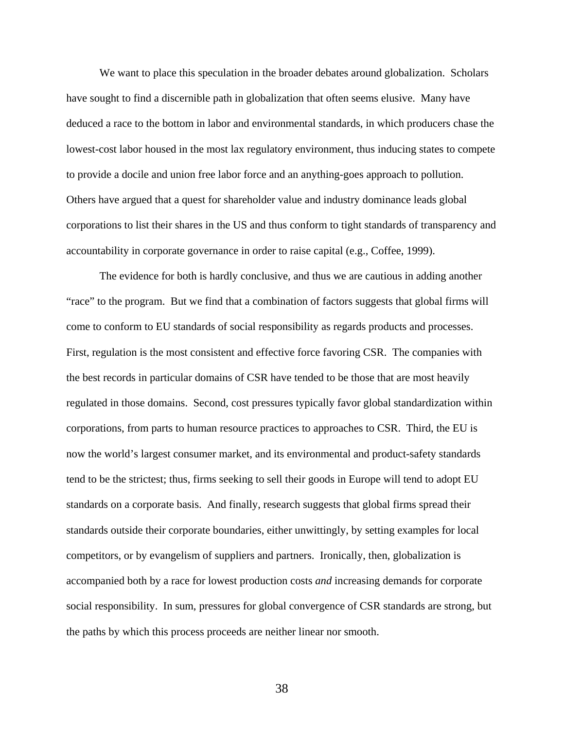We want to place this speculation in the broader debates around globalization. Scholars have sought to find a discernible path in globalization that often seems elusive. Many have deduced a race to the bottom in labor and environmental standards, in which producers chase the lowest-cost labor housed in the most lax regulatory environment, thus inducing states to compete to provide a docile and union free labor force and an anything-goes approach to pollution. Others have argued that a quest for shareholder value and industry dominance leads global corporations to list their shares in the US and thus conform to tight standards of transparency and accountability in corporate governance in order to raise capital (e.g., Coffee, 1999).

The evidence for both is hardly conclusive, and thus we are cautious in adding another "race" to the program. But we find that a combination of factors suggests that global firms will come to conform to EU standards of social responsibility as regards products and processes. First, regulation is the most consistent and effective force favoring CSR. The companies with the best records in particular domains of CSR have tended to be those that are most heavily regulated in those domains. Second, cost pressures typically favor global standardization within corporations, from parts to human resource practices to approaches to CSR. Third, the EU is now the world's largest consumer market, and its environmental and product-safety standards tend to be the strictest; thus, firms seeking to sell their goods in Europe will tend to adopt EU standards on a corporate basis. And finally, research suggests that global firms spread their standards outside their corporate boundaries, either unwittingly, by setting examples for local competitors, or by evangelism of suppliers and partners. Ironically, then, globalization is accompanied both by a race for lowest production costs *and* increasing demands for corporate social responsibility. In sum, pressures for global convergence of CSR standards are strong, but the paths by which this process proceeds are neither linear nor smooth.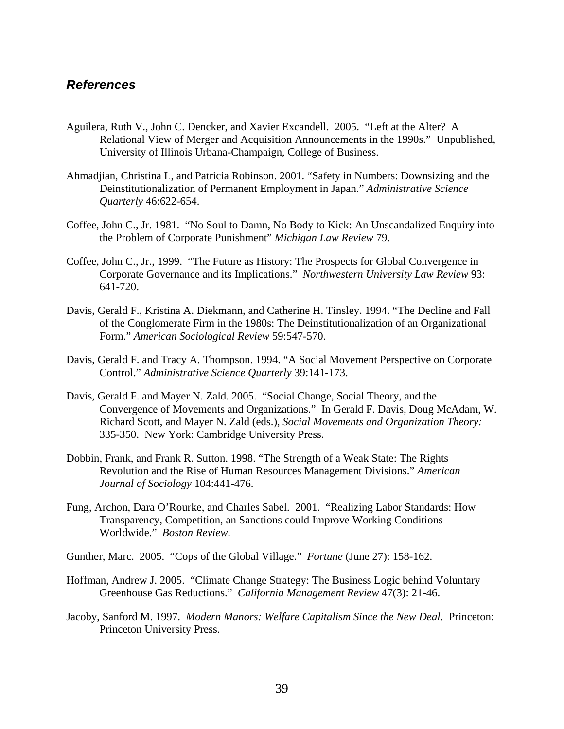### *References*

- Aguilera, Ruth V., John C. Dencker, and Xavier Excandell. 2005. "Left at the Alter? A Relational View of Merger and Acquisition Announcements in the 1990s." Unpublished, University of Illinois Urbana-Champaign, College of Business.
- Ahmadjian, Christina L, and Patricia Robinson. 2001. "Safety in Numbers: Downsizing and the Deinstitutionalization of Permanent Employment in Japan." *Administrative Science Quarterly* 46:622-654.
- Coffee, John C., Jr. 1981. "No Soul to Damn, No Body to Kick: An Unscandalized Enquiry into the Problem of Corporate Punishment" *Michigan Law Review* 79.
- Coffee, John C., Jr., 1999. "The Future as History: The Prospects for Global Convergence in Corporate Governance and its Implications." *Northwestern University Law Review* 93: 641-720.
- Davis, Gerald F., Kristina A. Diekmann, and Catherine H. Tinsley. 1994. "The Decline and Fall of the Conglomerate Firm in the 1980s: The Deinstitutionalization of an Organizational Form." *American Sociological Review* 59:547-570.
- Davis, Gerald F. and Tracy A. Thompson. 1994. "A Social Movement Perspective on Corporate Control." *Administrative Science Quarterly* 39:141-173.
- Davis, Gerald F. and Mayer N. Zald. 2005. "Social Change, Social Theory, and the Convergence of Movements and Organizations." In Gerald F. Davis, Doug McAdam, W. Richard Scott, and Mayer N. Zald (eds.), *Social Movements and Organization Theory:* 335-350. New York: Cambridge University Press.
- Dobbin, Frank, and Frank R. Sutton. 1998. "The Strength of a Weak State: The Rights Revolution and the Rise of Human Resources Management Divisions." *American Journal of Sociology* 104:441-476.
- Fung, Archon, Dara O'Rourke, and Charles Sabel. 2001. "Realizing Labor Standards: How Transparency, Competition, an Sanctions could Improve Working Conditions Worldwide." *Boston Review*.
- Gunther, Marc. 2005. "Cops of the Global Village." *Fortune* (June 27): 158-162.
- Hoffman, Andrew J. 2005. "Climate Change Strategy: The Business Logic behind Voluntary Greenhouse Gas Reductions." *California Management Review* 47(3): 21-46.
- Jacoby, Sanford M. 1997. *Modern Manors: Welfare Capitalism Since the New Deal*. Princeton: Princeton University Press.